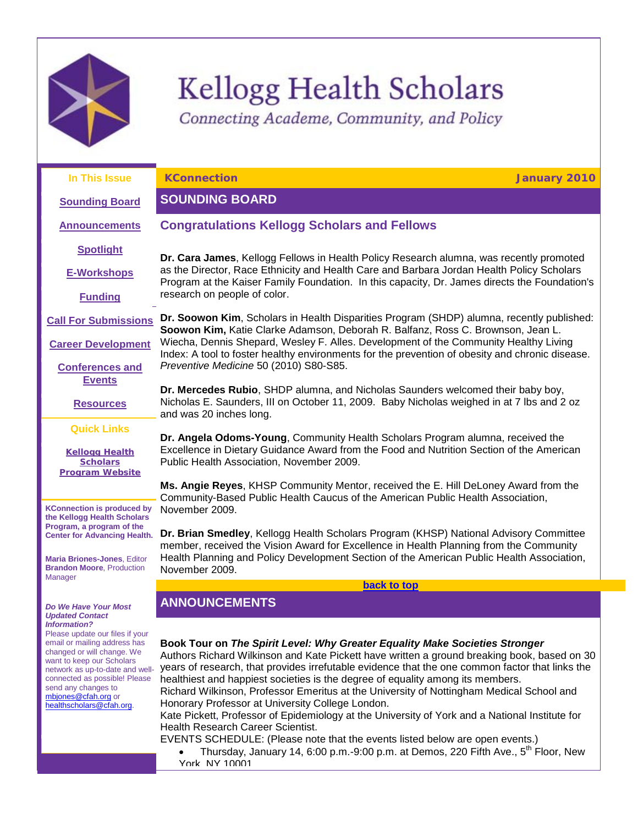

# **Kellogg Health Scholars**

<span id="page-0-2"></span><span id="page-0-0"></span>Connecting Academe, Community, and Policy

**In This Issue [Sounding Board](#page-0-0) [Announcements](#page-0-1) [Spotlight](#page-1-0) [E-Workshops](#page-2-0) [Funding](#page-2-1) [Call For Submissions](#page-5-0) [Career Development](#page-15-0) [Conferences and](#page-20-0)  [Events](#page-20-0) [Resources](#page-22-0) Quick Links [Kellogg Health](http://rs6.net/tn.jsp?et=1102939693473&s=1&e=001B8WMXQG3H7UtBj-0QjLvCJhdiCqwwdvEJtoRXf-qgkuUWR4ac2OedRVpnMDGyyCXRClV9tRFqTcD91lv3I91UwlGCBXJuu7I6S7NrP8aClp53FoTUANdHJTvWqRf73Y4)  [Scholars](http://rs6.net/tn.jsp?et=1102939693473&s=1&e=001B8WMXQG3H7UtBj-0QjLvCJhdiCqwwdvEJtoRXf-qgkuUWR4ac2OedRVpnMDGyyCXRClV9tRFqTcD91lv3I91UwlGCBXJuu7I6S7NrP8aClp53FoTUANdHJTvWqRf73Y4)  [Program](http://rs6.net/tn.jsp?et=1102939693473&s=1&e=001B8WMXQG3H7UtBj-0QjLvCJhdiCqwwdvEJtoRXf-qgkuUWR4ac2OedRVpnMDGyyCXRClV9tRFqTcD91lv3I91UwlGCBXJuu7I6S7NrP8aClp53FoTUANdHJTvWqRf73Y4) Website KConnection is produced by the Kellogg Health Scholars Program, a program of the Center for Advancing Health. Maria Briones-Jones**, Editor **Brandon Moore**, Production *Do We Have Your Most Updated Contact Information?* **KConnection January 2010 SOUNDING BOARD Congratulations Kellogg Scholars and Fellows Dr. Cara James**, Kellogg Fellows in Health Policy Research alumna, was recently promoted as the Director, Race Ethnicity and Health Care and Barbara Jordan Health Policy Scholars Program at the Kaiser Family Foundation. In this capacity, Dr. James directs the Foundation's research on people of color. **Dr. Soowon Kim**, Scholars in Health Disparities Program (SHDP) alumna, recently published: **Soowon Kim,** Katie Clarke Adamson, Deborah R. Balfanz, Ross C. Brownson, Jean L. Wiecha, Dennis Shepard, Wesley F. Alles. Development of the Community Healthy Living Index: A tool to foster healthy environments for the prevention of obesity and chronic disease. *Preventive Medicine* 50 (2010) S80-S85. **Dr. Mercedes Rubio**, SHDP alumna, and Nicholas Saunders welcomed their baby boy, Nicholas E. Saunders, III on October 11, 2009. Baby Nicholas weighed in at 7 lbs and 2 oz and was 20 inches long. **Dr. Angela Odoms-Young**, Community Health Scholars Program alumna, received the Excellence in Dietary Guidance Award from the Food and Nutrition Section of the American Public Health Association, November 2009. **Ms. Angie Reyes**, KHSP Community Mentor, received the E. Hill DeLoney Award from the Community-Based Public Health Caucus of the American Public Health Association, November 2009. **Dr. Brian Smedley**, Kellogg Health Scholars Program (KHSP) National Advisory Committee member, received the Vision Award for Excellence in Health Planning from the Community Health Planning and Policy Development Section of the American Public Health Association, November 2009. **[back to top](#page-0-2) ANNOUNCEMENTS**

Please update our files if your email or mailing address has changed or will change. We want to keep our Scholars network as up-to-date and wellconnected as possible! Please send any changes to [mbjones@cfah.org](mailto:mbjones@cfah.org) or [healthscholars@cfah.org.](mailto:healthscholars@cfah.org) 

Manager

<span id="page-0-1"></span>**Book Tour on** *The Spirit Level: Why Greater Equality Make Societies Stronger*

Authors Richard Wilkinson and Kate Pickett have written a ground breaking book, based on 30 years of research, that provides irrefutable evidence that the one common factor that links the healthiest and happiest societies is the degree of equality among its members.

Richard Wilkinson, Professor Emeritus at the University of Nottingham Medical School and Honorary Professor at University College London.

Kate Pickett, Professor of Epidemiology at the University of York and a National Institute for Health Research Career Scientist.

EVENTS SCHEDULE: (Please note that the events listed below are open events.)

Thursday, January 14, 6:00 p.m.-9:00 p.m. at Demos, 220 Fifth Ave.,  $5<sup>th</sup>$  Floor, New York, NY 10001.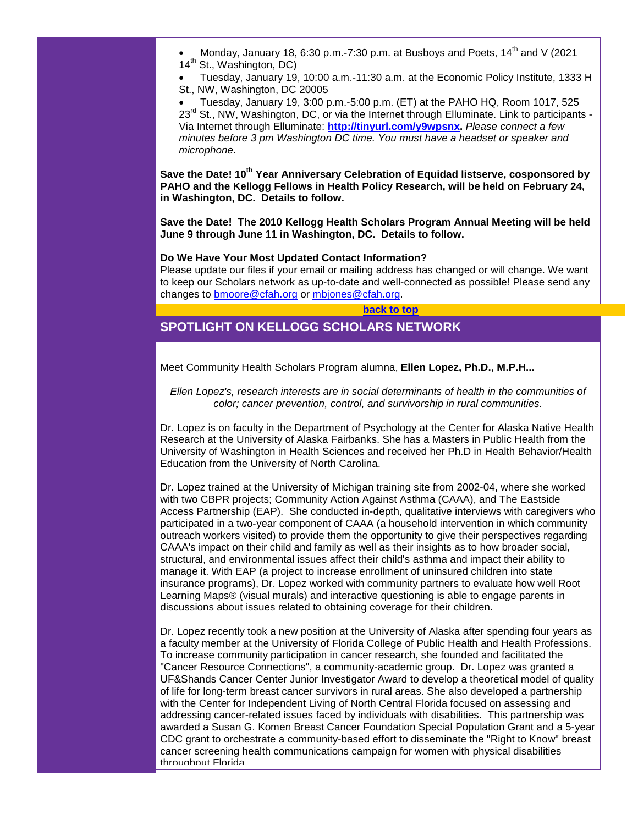Monday, January 18, 6:30 p.m.-7:30 p.m. at Busbovs and Poets, 14<sup>th</sup> and V (2021 14<sup>th</sup> St., Washington, DC)

• Tuesday, January 19, 10:00 a.m.-11:30 a.m. at the Economic Policy Institute, 1333 H St., NW, Washington, DC 20005

• Tuesday, January 19, 3:00 p.m.-5:00 p.m. (ET) at the PAHO HQ, Room 1017, 525 23<sup>rd</sup> St., NW, Washington, DC, or via the Internet through Elluminate. Link to participants -Via Internet through Elluminate: **[http://tinyurl.com/y9wpsnx.](http://rs6.net/tn.jsp?et=1102939693473&s=1&e=001B8WMXQG3H7WOPhKi8YA_-LTAVL5Q8WLD3RVx3f9cICXwV_D_LMFhyL2C9YaCj7Yxq6TRf0JNdi61ogXavEJaXstHk6k3y7RA5ZiHfqEHobPO7NU75xPMlg==)** *Please connect a few minutes before 3 pm Washington DC time. You must have a headset or speaker and microphone.*

**Save the Date! 10th Year Anniversary Celebration of Equidad listserve, cosponsored by PAHO and the Kellogg Fellows in Health Policy Research, will be held on February 24, in Washington, DC. Details to follow.**

**Save the Date! The 2010 Kellogg Health Scholars Program Annual Meeting will be held June 9 through June 11 in Washington, DC. Details to follow.**

## **Do We Have Your Most Updated Contact Information?**

Please update our files if your email or mailing address has changed or will change. We want to keep our Scholars network as up-to-date and well-connected as possible! Please send any changes to [bmoore@cfah.org](mailto:bmoore@cfah.org) or [mbjones@cfah.org.](mailto:mbjones@cfah.org)

## **[back to top](#page-0-2)**

# <span id="page-1-0"></span>**SPOTLIGHT ON KELLOGG SCHOLARS NETWORK**

Meet Community Health Scholars Program alumna, **Ellen Lopez, Ph.D., M.P.H...**

*Ellen Lopez's, research interests are in social determinants of health in the communities of color; cancer prevention, control, and survivorship in rural communities.*

Dr. Lopez is on faculty in the Department of Psychology at the Center for Alaska Native Health Research at the University of Alaska Fairbanks. She has a Masters in Public Health from the University of Washington in Health Sciences and received her Ph.D in Health Behavior/Health Education from the University of North Carolina.

Dr. Lopez trained at the University of Michigan training site from 2002-04, where she worked with two CBPR projects; Community Action Against Asthma (CAAA), and The Eastside Access Partnership (EAP). She conducted in-depth, qualitative interviews with caregivers who participated in a two-year component of CAAA (a household intervention in which community outreach workers visited) to provide them the opportunity to give their perspectives regarding CAAA's impact on their child and family as well as their insights as to how broader social, structural, and environmental issues affect their child's asthma and impact their ability to manage it. With EAP (a project to increase enrollment of uninsured children into state insurance programs), Dr. Lopez worked with community partners to evaluate how well Root Learning Maps® (visual murals) and interactive questioning is able to engage parents in discussions about issues related to obtaining coverage for their children.

Dr. Lopez recently took a new position at the University of Alaska after spending four years as a faculty member at the University of Florida College of Public Health and Health Professions. To increase community participation in cancer research, she founded and facilitated the "Cancer Resource Connections", a community-academic group. Dr. Lopez was granted a UF&Shands Cancer Center Junior Investigator Award to develop a theoretical model of quality of life for long-term breast cancer survivors in rural areas. She also developed a partnership with the Center for Independent Living of North Central Florida focused on assessing and addressing cancer-related issues faced by individuals with disabilities. This partnership was awarded a Susan G. Komen Breast Cancer Foundation Special Population Grant and a 5-year CDC grant to orchestrate a community-based effort to disseminate the "Right to Know" breast cancer screening health communications campaign for women with physical disabilities throughout Florida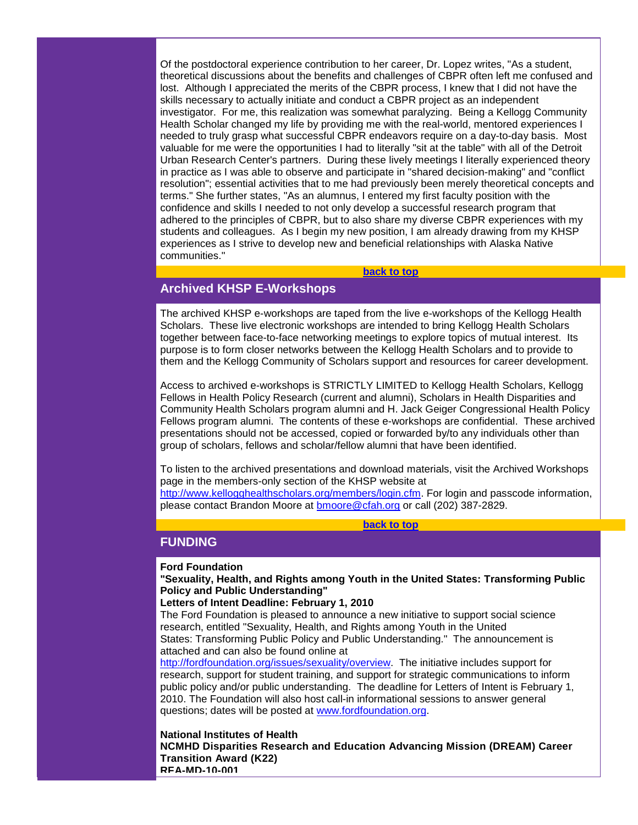Of the postdoctoral experience contribution to her career, Dr. Lopez writes, "As a student, theoretical discussions about the benefits and challenges of CBPR often left me confused and lost. Although I appreciated the merits of the CBPR process, I knew that I did not have the skills necessary to actually initiate and conduct a CBPR project as an independent investigator. For me, this realization was somewhat paralyzing. Being a Kellogg Community Health Scholar changed my life by providing me with the real-world, mentored experiences I needed to truly grasp what successful CBPR endeavors require on a day-to-day basis. Most valuable for me were the opportunities I had to literally "sit at the table" with all of the Detroit Urban Research Center's partners. During these lively meetings I literally experienced theory in practice as I was able to observe and participate in "shared decision-making" and "conflict resolution"; essential activities that to me had previously been merely theoretical concepts and terms." She further states, "As an alumnus, I entered my first faculty position with the confidence and skills I needed to not only develop a successful research program that adhered to the principles of CBPR, but to also share my diverse CBPR experiences with my students and colleagues. As I begin my new position, I am already drawing from my KHSP experiences as I strive to develop new and beneficial relationships with Alaska Native communities."

## **[back to top](#page-0-2)**

## <span id="page-2-0"></span>**Archived KHSP E-Workshops**

The archived KHSP e-workshops are taped from the live e-workshops of the Kellogg Health Scholars. These live electronic workshops are intended to bring Kellogg Health Scholars together between face-to-face networking meetings to explore topics of mutual interest. Its purpose is to form closer networks between the Kellogg Health Scholars and to provide to them and the Kellogg Community of Scholars support and resources for career development.

Access to archived e-workshops is STRICTLY LIMITED to Kellogg Health Scholars, Kellogg Fellows in Health Policy Research (current and alumni), Scholars in Health Disparities and Community Health Scholars program alumni and H. Jack Geiger Congressional Health Policy Fellows program alumni. The contents of these e-workshops are confidential. These archived presentations should not be accessed, copied or forwarded by/to any individuals other than group of scholars, fellows and scholar/fellow alumni that have been identified.

To listen to the archived presentations and download materials, visit the Archived Workshops page in the members-only section of the KHSP website at

[http://www.kellogghealthscholars.org/members/login.cfm.](http://rs6.net/tn.jsp?et=1102939693473&s=1&e=001B8WMXQG3H7X3Mf3ilqCpfbNBJuWLHymzur5WC-6Es8wnGcTefyDhZK-1OQ5zMh1YzBuS4ICEj_WF3pW1f6V-jkCEvOqPxGxG5edtI5O2kLCuHHJV1p6HLHZsMClpiF7hBRSkyVXJnUheQ0ljbzdZYA==) For login and passcode information, please contact Brandon Moore at [bmoore@cfah.org](mailto:bmoore@cfah.org) or call (202) 387-2829.

**[back to top](#page-0-2)**

## <span id="page-2-1"></span>**FUNDING**

## **Ford Foundation**

**"Sexuality, Health, and Rights among Youth in the United States: Transforming Public Policy and Public Understanding"**

## **Letters of Intent Deadline: February 1, 2010**

The Ford Foundation is pleased to announce a new initiative to support social science research, entitled "Sexuality, Health, and Rights among Youth in the United States: Transforming Public Policy and Public Understanding." The announcement is attached and can also be found online at

[http://fordfoundation.org/issues/sexuality/overview.](http://rs6.net/tn.jsp?et=1102939693473&s=1&e=001B8WMXQG3H7VnTcHsWDW5qSopxKB9YVvDiWMxCM9jNCY_Z7YD5oqbdp63_ms6I8u6hZarI-V9lXlB2tYoLwzE21DuYePi4sCI-qRH9p1S8yuGw6-yqsijq_Xng0aAhWIp913I2ZZL8NNVx7fLzEFTOg==) The initiative includes support for research, support for student training, and support for strategic communications to inform public policy and/or public understanding. The deadline for Letters of Intent is February 1, 2010. The Foundation will also host call-in informational sessions to answer general questions; dates will be posted at [www.fordfoundation.org.](http://rs6.net/tn.jsp?et=1102939693473&s=1&e=001B8WMXQG3H7WAOK9yqmgkBASYMVCl6DkLq_ZVup_Lwyk6MnfmIH8zkfXnK0pT7-V7TikNjjGroYc1rjvrFD2pqBmv0p4MxYyCJODcouowU_qI_ddM9VrAcQ==)

**National Institutes of Health NCMHD Disparities Research and Education Advancing Mission (DREAM) Career Transition Award (K22) RFA-MD-10-001**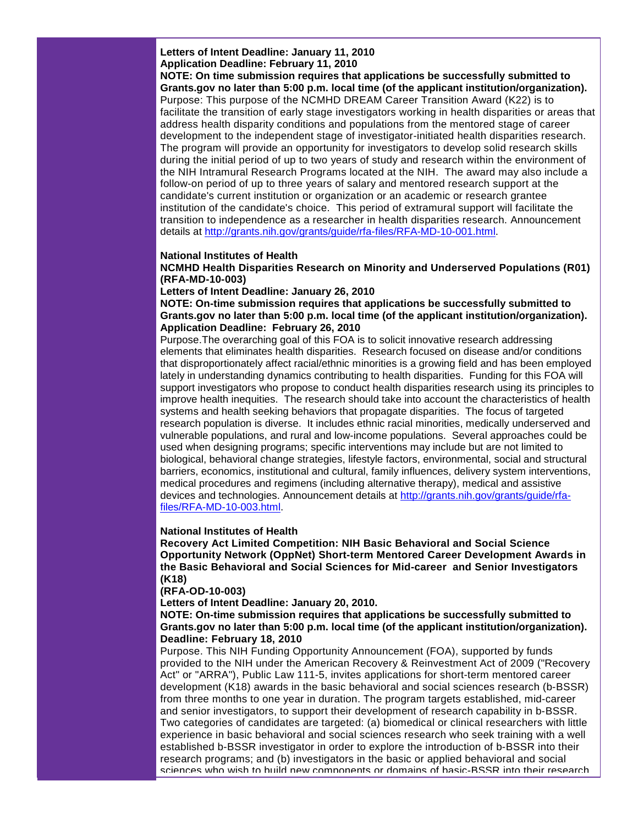**Letters of Intent Deadline: January 11, 2010 Application Deadline: February 11, 2010**

**NOTE: On time submission requires that applications be successfully submitted to Grants.gov no later than 5:00 p.m. local time (of the applicant institution/organization).** Purpose: This purpose of the NCMHD DREAM Career Transition Award (K22) is to facilitate the transition of early stage investigators working in health disparities or areas that address health disparity conditions and populations from the mentored stage of career development to the independent stage of investigator-initiated health disparities research. The program will provide an opportunity for investigators to develop solid research skills during the initial period of up to two years of study and research within the environment of the NIH Intramural Research Programs located at the NIH. The award may also include a follow-on period of up to three years of salary and mentored research support at the candidate's current institution or organization or an academic or research grantee institution of the candidate's choice. This period of extramural support will facilitate the transition to independence as a researcher in health disparities research. Announcement details at [http://grants.nih.gov/grants/guide/rfa-files/RFA-MD-10-001.html.](http://rs6.net/tn.jsp?et=1102939693473&s=1&e=001B8WMXQG3H7XfEZkRA9_C2qS8xKxpOIzUxaKTrQiN83T5UZ_D43CvxyU_WKphR3X_cA7ySEhPeynkkVZauwBXNPH_LcdUvktbzARVwf8aVJPzsuMYaq8yjdjb-Kefika8H4BGWSjIT5BrxVIw1Vdg5EjGz8awBCF-4-DNAPwoQgs=)

#### **National Institutes of Health**

**NCMHD Health Disparities Research on Minority and Underserved Populations (R01) (RFA-MD-10-003)**

**Letters of Intent Deadline: January 26, 2010** 

**NOTE: On-time submission requires that applications be successfully submitted to Grants.gov no later than 5:00 p.m. local time (of the applicant institution/organization). Application Deadline: February 26, 2010**

Purpose.The overarching goal of this FOA is to solicit innovative research addressing elements that eliminates health disparities. Research focused on disease and/or conditions that disproportionately affect racial/ethnic minorities is a growing field and has been employed lately in understanding dynamics contributing to health disparities. Funding for this FOA will support investigators who propose to conduct health disparities research using its principles to improve health inequities. The research should take into account the characteristics of health systems and health seeking behaviors that propagate disparities. The focus of targeted research population is diverse. It includes ethnic racial minorities, medically underserved and vulnerable populations, and rural and low-income populations. Several approaches could be used when designing programs; specific interventions may include but are not limited to biological, behavioral change strategies, lifestyle factors, environmental, social and structural barriers, economics, institutional and cultural, family influences, delivery system interventions, medical procedures and regimens (including alternative therapy), medical and assistive devices and technologies. Announcement details at [http://grants.nih.gov/grants/guide/rfa](http://rs6.net/tn.jsp?et=1102939693473&s=1&e=001B8WMXQG3H7VVZPKmBOSg6DHRP9yP7hBVcTv0XdiDqvFUT_0NnX7TECYW8bykb12gAAijYNhP24SHL25KD2yINJqpIz3GQ5bXqnTQj5GV10XWEyc7IhrNWxklzixZcvhewgCjkhB_VEp0G17BmbM3UrZYcQCLb20_C2Ui2eOZE_w=)[files/RFA-MD-10-003.html.](http://rs6.net/tn.jsp?et=1102939693473&s=1&e=001B8WMXQG3H7VVZPKmBOSg6DHRP9yP7hBVcTv0XdiDqvFUT_0NnX7TECYW8bykb12gAAijYNhP24SHL25KD2yINJqpIz3GQ5bXqnTQj5GV10XWEyc7IhrNWxklzixZcvhewgCjkhB_VEp0G17BmbM3UrZYcQCLb20_C2Ui2eOZE_w=)

#### **National Institutes of Health**

**Recovery Act Limited Competition: NIH Basic Behavioral and Social Science Opportunity Network (OppNet) Short-term Mentored Career Development Awards in the Basic Behavioral and Social Sciences for Mid-career and Senior Investigators (K18)**

**(RFA-OD-10-003)**

**Letters of Intent Deadline: January 20, 2010.** 

**NOTE: On-time submission requires that applications be successfully submitted to Grants.gov no later than 5:00 p.m. local time (of the applicant institution/organization). Deadline: February 18, 2010**

Purpose. This NIH Funding Opportunity Announcement (FOA), supported by funds provided to the NIH under the American Recovery & Reinvestment Act of 2009 ("Recovery Act" or "ARRA"), Public Law 111-5, invites applications for short-term mentored career development (K18) awards in the basic behavioral and social sciences research (b-BSSR) from three months to one year in duration. The program targets established, mid-career and senior investigators, to support their development of research capability in b-BSSR. Two categories of candidates are targeted: (a) biomedical or clinical researchers with little experience in basic behavioral and social sciences research who seek training with a well established b-BSSR investigator in order to explore the introduction of b-BSSR into their research programs; and (b) investigators in the basic or applied behavioral and social sciences who wish to build new components or domains of basic-BSSR into their research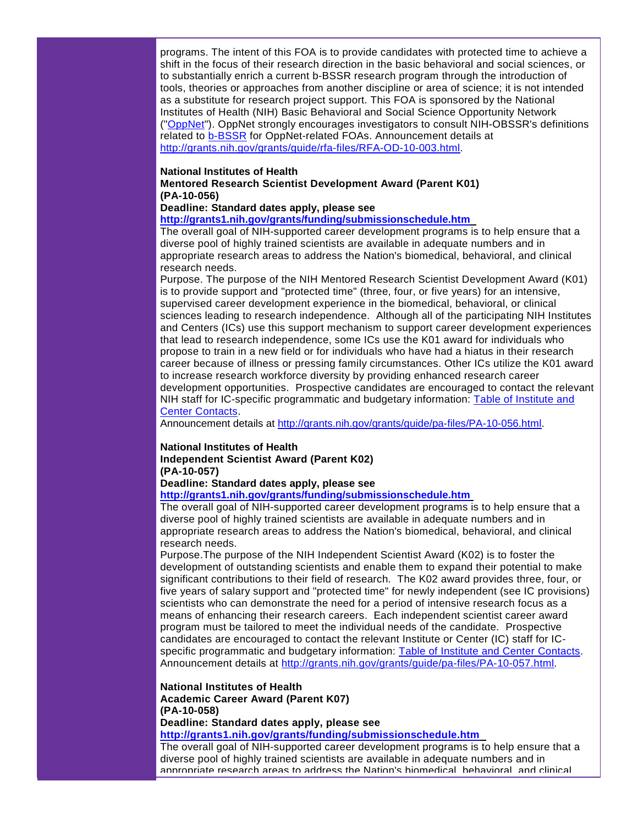programs. The intent of this FOA is to provide candidates with protected time to achieve a shift in the focus of their research direction in the basic behavioral and social sciences, or to substantially enrich a current b-BSSR research program through the introduction of tools, theories or approaches from another discipline or area of science; it is not intended as a substitute for research project support. This FOA is sponsored by the National Institutes of Health (NIH) Basic Behavioral and Social Science Opportunity Network (["OppNet"](http://rs6.net/tn.jsp?et=1102939693473&s=1&e=001B8WMXQG3H7VG9JctEgQ8t0UiGp-C34r_IPH3bsqO4Vf_5T5KPyHjEgurg1XUlzZWrpmqMkXy2Rmng6PiHGTKRx2JEWOvrPqpV86K6WUX1q4=)). OppNet strongly encourages investigators to consult NIH-OBSSR's definitions related to [b-BSSR](http://rs6.net/tn.jsp?et=1102939693473&s=1&e=001B8WMXQG3H7VQO_jnJ48DmVwbPg01vujF-L7uGlqeqB6WLBOxngT3IEoy4yAe7a45SgCqWShWSPeDSdmfojuy03AjuwB9Lp41cWXoTBAyvPNfN9eOSNqjYXjaHt322K1Wb42mJvRA-0MYQpFxDV-arPdULQFtipDiQsQLryqy3CH0J5kHpNWUtIU6w-CDHp3c) for OppNet-related FOAs. Announcement details at [http://grants.nih.gov/grants/guide/rfa-files/RFA-OD-10-003.html.](http://rs6.net/tn.jsp?et=1102939693473&s=1&e=001B8WMXQG3H7VYUA-C54b3Wq_iEMcX_qKOth_72NUQGM5E22geAC4cChdmrqNGz9jTzfl3uaumXxAbtN0pao3olLNT0BX-wG-zCYIaG-9_WYqOGJgfOeX_ow6Tv-54oolANUEBdBkcSLJ5WWUq_fJxIpytQOxrSghnFHmFRKtWZn0=)

#### **National Institutes of Health**

**Mentored Research Scientist Development Award (Parent K01) (PA-10-056)**

**Deadline: Standard dates apply, please see** 

**[http://grants1.nih.gov/grants/funding/submissionschedule.htm](http://rs6.net/tn.jsp?et=1102939693473&s=1&e=001B8WMXQG3H7VbMBJEmt1583SU2dy-diLlCJRC9JvkI7hSYd-OVZ1Jdr0c5o3J1tG0Cbz7vBXeyMxsNInjkViV-aTY6ENEb54GARJ9gIAkHxS1B-nvbiAjlgqoUpnh5nDRaMzC8y8oKMTm34YEungwib4UvzMH_w27)** 

The overall goal of NIH-supported career development programs is to help ensure that a diverse pool of highly trained scientists are available in adequate numbers and in appropriate research areas to address the Nation's biomedical, behavioral, and clinical research needs.

Purpose. The purpose of the NIH Mentored Research Scientist Development Award (K01) is to provide support and "protected time" (three, four, or five years) for an intensive, supervised career development experience in the biomedical, behavioral, or clinical sciences leading to research independence. Although all of the participating NIH Institutes and Centers (ICs) use this support mechanism to support career development experiences that lead to research independence, some ICs use the K01 award for individuals who propose to train in a new field or for individuals who have had a hiatus in their research career because of illness or pressing family circumstances. Other ICs utilize the K01 award to increase research workforce diversity by providing enhanced research career development opportunities. Prospective candidates are encouraged to contact the relevant NIH staff for IC-specific programmatic and budgetary information: [Table of Institute and](http://rs6.net/tn.jsp?et=1102939693473&s=1&e=001B8WMXQG3H7UmFHbwiEgr8UG9lOCyBGDvu6kLDWFfVPzNhAAFj6Cw-jU57p5B4B_v0S32oRjRWhO4xGlKLcAqbWRPxkf42ourFZseD6iqOWxxMYRQPVIxoKRWRi75x2TetVGQvc1QICRvXy6UOwKyPZwI4TaXUdUrA5zxxLFKQHY=)  [Center Contacts.](http://rs6.net/tn.jsp?et=1102939693473&s=1&e=001B8WMXQG3H7UmFHbwiEgr8UG9lOCyBGDvu6kLDWFfVPzNhAAFj6Cw-jU57p5B4B_v0S32oRjRWhO4xGlKLcAqbWRPxkf42ourFZseD6iqOWxxMYRQPVIxoKRWRi75x2TetVGQvc1QICRvXy6UOwKyPZwI4TaXUdUrA5zxxLFKQHY=)

Announcement details at [http://grants.nih.gov/grants/guide/pa-files/PA-10-056.html.](http://rs6.net/tn.jsp?et=1102939693473&s=1&e=001B8WMXQG3H7Wwf6N9qN1kp9j_APKMEsgKFH6r6DdXwnSKvVGFv4sAVBeLw7_LC9mJ5NTZGEP8sSERA_12Sgrm3HabqBi734FI-0xSizVps--HmsQinAr8TSCiU39rb7gb8gvGjwlmCyKFoUFaaOD-u2CUQXeTUf2S)

## **National Institutes of Health Independent Scientist Award (Parent K02) (PA-10-057)**

**Deadline: Standard dates apply, please see** 

**[http://grants1.nih.gov/grants/funding/submissionschedule.htm](http://rs6.net/tn.jsp?et=1102939693473&s=1&e=001B8WMXQG3H7VbMBJEmt1583SU2dy-diLlCJRC9JvkI7hSYd-OVZ1Jdr0c5o3J1tG0Cbz7vBXeyMxsNInjkViV-aTY6ENEb54GARJ9gIAkHxS1B-nvbiAjlgqoUpnh5nDRaMzC8y8oKMTm34YEungwib4UvzMH_w27)**

The overall goal of NIH-supported career development programs is to help ensure that a diverse pool of highly trained scientists are available in adequate numbers and in appropriate research areas to address the Nation's biomedical, behavioral, and clinical research needs.

Purpose.The purpose of the NIH Independent Scientist Award (K02) is to foster the development of outstanding scientists and enable them to expand their potential to make significant contributions to their field of research. The K02 award provides three, four, or five years of salary support and "protected time" for newly independent (see IC provisions) scientists who can demonstrate the need for a period of intensive research focus as a means of enhancing their research careers. Each independent scientist career award program must be tailored to meet the individual needs of the candidate. Prospective candidates are encouraged to contact the relevant Institute or Center (IC) staff for ICspecific programmatic and budgetary information: [Table of Institute and Center Contacts.](http://rs6.net/tn.jsp?et=1102939693473&s=1&e=001B8WMXQG3H7UTHz_pS1lnCDlQViqQs3vgqfbHvhffSmdH7gI8AmxqsZh5tGInilZdsj-fy7HYizIcwO6_mjOn-PcQIxnM9S0UhZnCH5jGIZjpERZxvxTE0H8PXWPjvpI6ZSOy_Df3DA-yYPsTjoNKcgS-M1ykjOZy9L8hrAq7cAE=) Announcement details at [http://grants.nih.gov/grants/guide/pa-files/PA-10-057.html.](http://rs6.net/tn.jsp?et=1102939693473&s=1&e=001B8WMXQG3H7VwUnSft4vDiq6SmsHNpM7_4b40pPSHrhK6m4m5eq4fqAQv20nlhBDgHSGcPyNrQ58H9gauaePytZsiAA20xFvCxmMaHK-Tyv59mAMwlPeSJVQ9aFiDuFxzuizADD3mSO6yC3wkCU7zcjcyO8rPi-D6)

**National Institutes of Health Academic Career Award (Parent K07) (PA-10-058)**

**Deadline: Standard dates apply, please see [http://grants1.nih.gov/grants/funding/submissionschedule.htm](http://rs6.net/tn.jsp?et=1102939693473&s=1&e=001B8WMXQG3H7VbMBJEmt1583SU2dy-diLlCJRC9JvkI7hSYd-OVZ1Jdr0c5o3J1tG0Cbz7vBXeyMxsNInjkViV-aTY6ENEb54GARJ9gIAkHxS1B-nvbiAjlgqoUpnh5nDRaMzC8y8oKMTm34YEungwib4UvzMH_w27)** 

The overall goal of NIH-supported career development programs is to help ensure that a diverse pool of highly trained scientists are available in adequate numbers and in

appropriate research areas to address the Nation's biomedical, behavioral, and clinical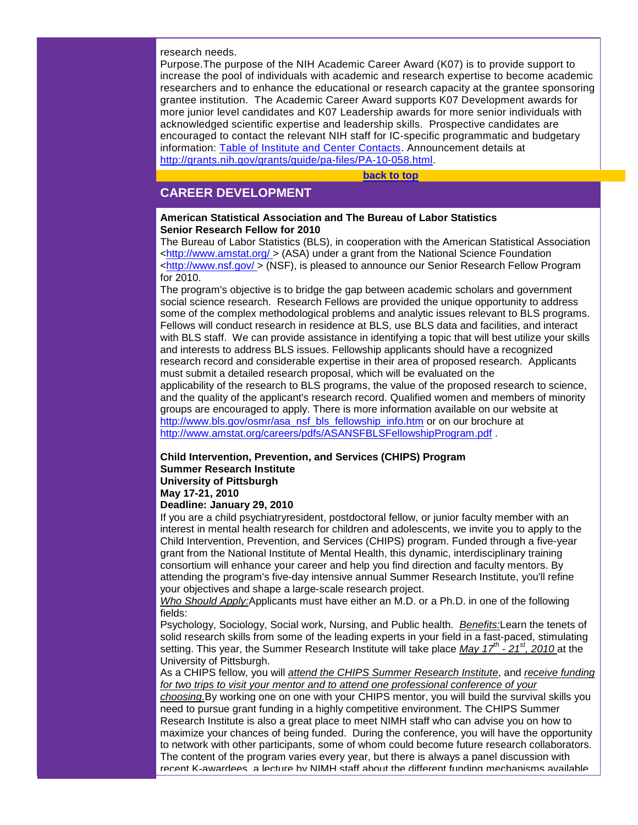research needs.

Purpose.The purpose of the NIH Academic Career Award (K07) is to provide support to increase the pool of individuals with academic and research expertise to become academic researchers and to enhance the educational or research capacity at the grantee sponsoring grantee institution. The Academic Career Award supports K07 Development awards for more junior level candidates and K07 Leadership awards for more senior individuals with acknowledged scientific expertise and leadership skills. Prospective candidates are encouraged to contact the relevant NIH staff for IC-specific programmatic and budgetary information: [Table of Institute and Center Contacts.](http://rs6.net/tn.jsp?et=1102939693473&s=1&e=001B8WMXQG3H7WgmL1l_BlGHclaBAXu6aZcxKznAFb3tVgAQJTEGCJifRDHu25DjrqOIVw36GSuDd-MA11wqxsUkAtQu0A2fVwQjMgARisAV2c0AVdPetEiZfMNCCNkIiUKKMZWsye37aFokb9ACA4xoLOJIwN9fNICtGBKOdZt7pQ=) Announcement details at [http://grants.nih.gov/grants/guide/pa-files/PA-10-058.html.](http://rs6.net/tn.jsp?et=1102939693473&s=1&e=001B8WMXQG3H7Uc8ifmdS2cU2adjpDwyVItarq0X9P3U4WlE-a79KagyyT6rkOz9tptjTOA7y5lTzwNar9RVsKiKguAg5Mwu4eAw1GiB2dYXV3QpwKFMJnNSmtb-PYxHStGDo88MQEha7RG0FFIhXnj5qRwNNvLjb33)

**[back to top](#page-0-2)**

## <span id="page-5-0"></span>**CAREER DEVELOPMENT**

## **American Statistical Association and The Bureau of Labor Statistics Senior Research Fellow for 2010**

The Bureau of Labor Statistics (BLS), in cooperation with the American Statistical Association [<http://www.amstat.org/ >](http://rs6.net/tn.jsp?et=1102939693473&s=1&e=001B8WMXQG3H7UYCQbeDsWX4MenOcjHSLLHMNwVXwrfzHTwDsgGliryBuyU6nC_FfePau80ROezMV0L-rwqs_sgUGU2zZO2-40KFoJpuJPGukmCs0FdW5nUxwrlgEhN7ixNY8whbBMR6uXuDTaUNdQg--kz8vpLrRIG) (ASA) under a grant from the National Science Foundation [<http://www.nsf.gov/ >](http://rs6.net/tn.jsp?et=1102939693473&s=1&e=001B8WMXQG3H7XWFTQymLKGKdAKgChVCM6eM5aks4_1TTtoYC8ZD-RTYpt7aAaHw3PpY4-CaH-fsYMsK9QTLdlkJ0PDil5PTBh4MuRYM4VXOOZPQ8xR-viZy2oMvcQbg7fqn5HIcN8of8svROZFkQhZKw==) (NSF), is pleased to announce our Senior Research Fellow Program for 2010.

The program's objective is to bridge the gap between academic scholars and government social science research. Research Fellows are provided the unique opportunity to address some of the complex methodological problems and analytic issues relevant to BLS programs. Fellows will conduct research in residence at BLS, use BLS data and facilities, and interact with BLS staff. We can provide assistance in identifying a topic that will best utilize your skills and interests to address BLS issues. Fellowship applicants should have a recognized research record and considerable expertise in their area of proposed research. Applicants must submit a detailed research proposal, which will be evaluated on the applicability of the research to BLS programs, the value of the proposed research to science, and the quality of the applicant's research record. Qualified women and members of minority groups are encouraged to apply. There is more information available on our website at [http://www.bls.gov/osmr/asa\\_nsf\\_bls\\_fellowship\\_info.htm](http://rs6.net/tn.jsp?et=1102939693473&s=1&e=001B8WMXQG3H7XyoInCVkrgloOtZ2wDH1-GcBKRVeG1V9zr4mH9_acaf_1RT8a5s2T6etbHXXrBEZpQM3JBvy41c02yKi_z8kB33y-x9Q5x6IQlDaBqwUeO8ctjKgM-m9GYFicw2mBxSykf6FvJxf7WfvcweF3kTw4o) or on our brochure at [http://www.amstat.org/careers/pdfs/ASANSFBLSFellowshipProgram.pdf](http://rs6.net/tn.jsp?et=1102939693473&s=1&e=001B8WMXQG3H7X1LkwoEVmliSj4CTaSMXINbHT5ayD6s9GJ3sLEU0YjxbI0uBXH5PFzDKkmHPIhDoActCoIYKc6d1Yg2Ki92JR2ljP6cBDkEegFUoY-sWOCV0imJ3jIxo-xmvPL3N3-RNZIcCmbJHftzyhWrEOznyfc027VvBFiPic=) .

## **Child Intervention, Prevention, and Services (CHIPS) Program Summer Research Institute University of Pittsburgh May 17-21, 2010**

## **Deadline: January 29, 2010**

If you are a child psychiatryresident, postdoctoral fellow, or junior faculty member with an interest in mental health research for children and adolescents, we invite you to apply to the Child Intervention, Prevention, and Services (CHIPS) program. Funded through a five-year grant from the National Institute of Mental Health, this dynamic, interdisciplinary training consortium will enhance your career and help you find direction and faculty mentors. By attending the program's five-day intensive annual Summer Research Institute, you'll refine your objectives and shape a large-scale research project.

*Who Should Apply:*Applicants must have either an M.D. or a Ph.D. in one of the following fields:

Psychology, Sociology, Social work, Nursing, and Public health. *Benefits:*Learn the tenets of solid research skills from some of the leading experts in your field in a fast-paced, stimulating setting. This year, the Summer Research Institute will take place *May 17th - 21st, 2010* at the University of Pittsburgh.

As a CHIPS fellow, you will *attend the CHIPS Summer Research Institute*, and *receive funding for two trips to visit your mentor and to attend one professional conference of your* 

*choosing.*By working one on one with your CHIPS mentor, you will build the survival skills you need to pursue grant funding in a highly competitive environment. The CHIPS Summer Research Institute is also a great place to meet NIMH staff who can advise you on how to maximize your chances of being funded. During the conference, you will have the opportunity to network with other participants, some of whom could become future research collaborators. The content of the program varies every year, but there is always a panel discussion with recent K-awardees, a lecture by NIMH staff about the different funding mechanisms available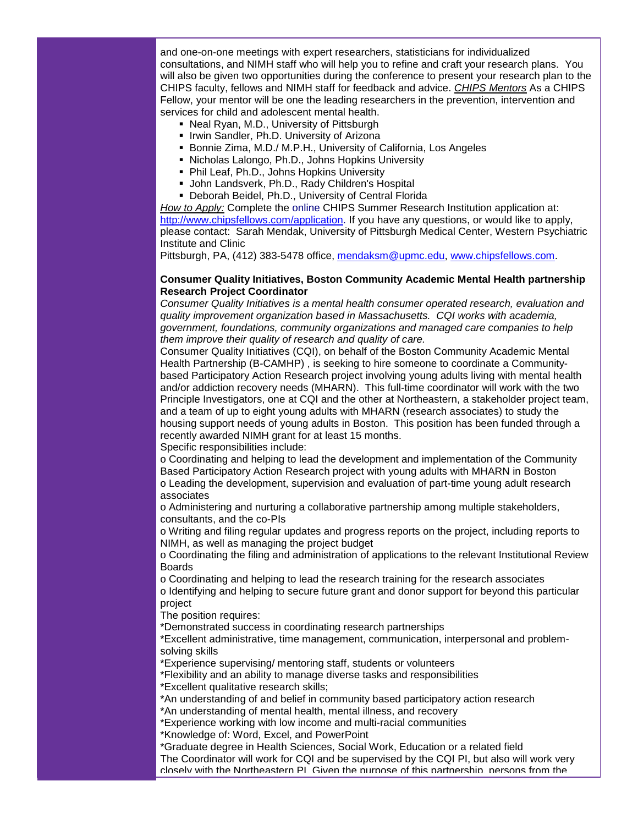and one-on-one meetings with expert researchers, statisticians for individualized consultations, and NIMH staff who will help you to refine and craft your research plans. You will also be given two opportunities during the conference to present your research plan to the CHIPS faculty, fellows and NIMH staff for feedback and advice. *CHIPS Mentors* As a CHIPS Fellow, your mentor will be one the leading researchers in the prevention, intervention and services for child and adolescent mental health.

- Neal Ryan, M.D., University of Pittsburgh
- **I** Irwin Sandler, Ph.D. University of Arizona
- Bonnie Zima, M.D./ M.P.H., University of California, Los Angeles
- Nicholas Lalongo, Ph.D., Johns Hopkins University
- Phil Leaf, Ph.D., Johns Hopkins University
- **John Landsverk, Ph.D., Rady Children's Hospital**
- Deborah Beidel, Ph.D., University of Central Florida

*How to Apply:* Complete the online CHIPS Summer Research Institution application at: [http://www.chipsfellows.com/application.](http://rs6.net/tn.jsp?et=1102939693473&s=1&e=001B8WMXQG3H7VxJ03sYpyqbfTbGQbKMfOq-_6VP9_BPB4mqfNZvz2mIqVVS_Ms_MGvWHpXD0xML3LVGi5qD2B8CzFBYtABuOX1fDox6tUtYR_TnGuIGg3f34QVE2ZowbIe) If you have any questions, or would like to apply, please contact: Sarah Mendak, University of Pittsburgh Medical Center, Western Psychiatric Institute and Clinic

Pittsburgh, PA, (412) 383-5478 office, [mendaksm@upmc.edu,](mailto:mendaksm@upmc.edu) [www.chipsfellows.com.](http://rs6.net/tn.jsp?et=1102939693473&s=1&e=001B8WMXQG3H7VrjPUsgKo4Ug4Eh0FW-DzSYrgRNSyYVNgA0DhpQFxbWmsdjWEA4vx_KFrCpKoNi-cmtLNDULKfi-EuqpfMF8Zg3bNdhn7Vhb4EUEP8HopwGw==)

## **Consumer Quality Initiatives, Boston Community Academic Mental Health partnership Research Project Coordinator**

*Consumer Quality Initiatives is a mental health consumer operated research, evaluation and quality improvement organization based in Massachusetts. CQI works with academia, government, foundations, community organizations and managed care companies to help them improve their quality of research and quality of care.*

Consumer Quality Initiatives (CQI), on behalf of the Boston Community Academic Mental Health Partnership (B-CAMHP) , is seeking to hire someone to coordinate a Communitybased Participatory Action Research project involving young adults living with mental health and/or addiction recovery needs (MHARN). This full-time coordinator will work with the two Principle Investigators, one at CQI and the other at Northeastern, a stakeholder project team, and a team of up to eight young adults with MHARN (research associates) to study the housing support needs of young adults in Boston. This position has been funded through a recently awarded NIMH grant for at least 15 months.

Specific responsibilities include:

o Coordinating and helping to lead the development and implementation of the Community Based Participatory Action Research project with young adults with MHARN in Boston o Leading the development, supervision and evaluation of part-time young adult research associates

o Administering and nurturing a collaborative partnership among multiple stakeholders, consultants, and the co-PIs

o Writing and filing regular updates and progress reports on the project, including reports to NIMH, as well as managing the project budget

o Coordinating the filing and administration of applications to the relevant Institutional Review Boards

o Coordinating and helping to lead the research training for the research associates o Identifying and helping to secure future grant and donor support for beyond this particular

## project

The position requires:

\*Demonstrated success in coordinating research partnerships

\*Excellent administrative, time management, communication, interpersonal and problemsolving skills

\*Experience supervising/ mentoring staff, students or volunteers

\*Flexibility and an ability to manage diverse tasks and responsibilities

\*Excellent qualitative research skills;

\*An understanding of and belief in community based participatory action research

\*An understanding of mental health, mental illness, and recovery

\*Experience working with low income and multi-racial communities

\*Knowledge of: Word, Excel, and PowerPoint

\*Graduate degree in Health Sciences, Social Work, Education or a related field The Coordinator will work for CQI and be supervised by the CQI PI, but also will work very closely with the Northeastern PI. Given the purpose of this partnership, persons from the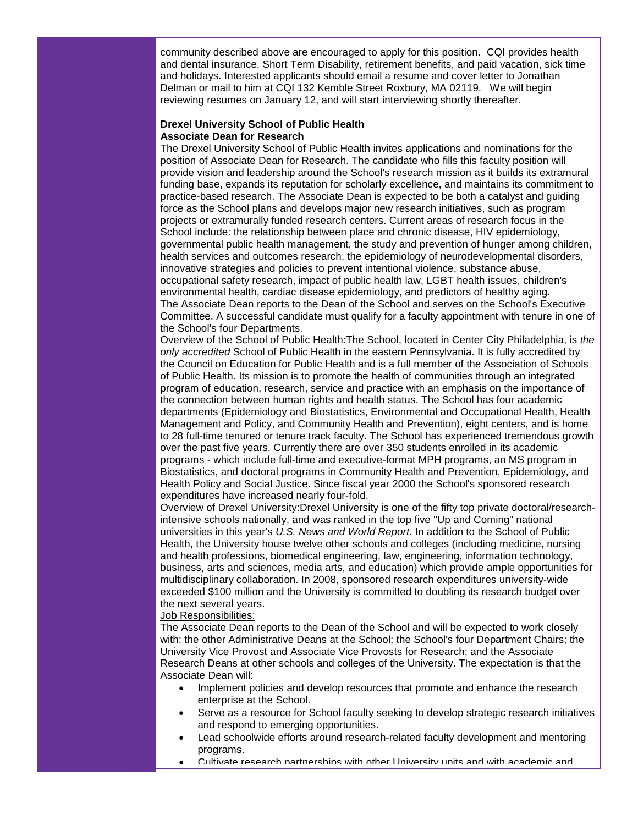community described above are encouraged to apply for this position. CQI provides health and dental insurance, Short Term Disability, retirement benefits, and paid vacation, sick time and holidays. Interested applicants should email a resume and cover letter to Jonathan Delman or mail to him at CQI 132 Kemble Street Roxbury, MA 02119. We will begin reviewing resumes on January 12, and will start interviewing shortly thereafter.

## **Drexel University School of Public Health Associate Dean for Research**

The Drexel University School of Public Health invites applications and nominations for the position of Associate Dean for Research. The candidate who fills this faculty position will provide vision and leadership around the School's research mission as it builds its extramural funding base, expands its reputation for scholarly excellence, and maintains its commitment to practice-based research. The Associate Dean is expected to be both a catalyst and guiding force as the School plans and develops major new research initiatives, such as program projects or extramurally funded research centers. Current areas of research focus in the School include: the relationship between place and chronic disease, HIV epidemiology, governmental public health management, the study and prevention of hunger among children, health services and outcomes research, the epidemiology of neurodevelopmental disorders, innovative strategies and policies to prevent intentional violence, substance abuse, occupational safety research, impact of public health law, LGBT health issues, children's environmental health, cardiac disease epidemiology, and predictors of healthy aging. The Associate Dean reports to the Dean of the School and serves on the School's Executive Committee. A successful candidate must qualify for a faculty appointment with tenure in one of the School's four Departments.

Overview of the School of Public Health:The School, located in Center City Philadelphia, is *the only accredited* School of Public Health in the eastern Pennsylvania. It is fully accredited by the Council on Education for Public Health and is a full member of the Association of Schools of Public Health. Its mission is to promote the health of communities through an integrated program of education, research, service and practice with an emphasis on the importance of the connection between human rights and health status. The School has four academic departments (Epidemiology and Biostatistics, Environmental and Occupational Health, Health Management and Policy, and Community Health and Prevention), eight centers, and is home to 28 full-time tenured or tenure track faculty. The School has experienced tremendous growth over the past five years. Currently there are over 350 students enrolled in its academic programs - which include full-time and executive-format MPH programs, an MS program in Biostatistics, and doctoral programs in Community Health and Prevention, Epidemiology, and Health Policy and Social Justice. Since fiscal year 2000 the School's sponsored research expenditures have increased nearly four-fold.

Overview of Drexel University:Drexel University is one of the fifty top private doctoral/researchintensive schools nationally, and was ranked in the top five "Up and Coming" national universities in this year's *U.S. News and World Report*. In addition to the School of Public Health, the University house twelve other schools and colleges (including medicine, nursing and health professions, biomedical engineering, law, engineering, information technology, business, arts and sciences, media arts, and education) which provide ample opportunities for multidisciplinary collaboration. In 2008, sponsored research expenditures university-wide exceeded \$100 million and the University is committed to doubling its research budget over the next several years.

## Job Responsibilities:

The Associate Dean reports to the Dean of the School and will be expected to work closely with: the other Administrative Deans at the School; the School's four Department Chairs; the University Vice Provost and Associate Vice Provosts for Research; and the Associate Research Deans at other schools and colleges of the University. The expectation is that the Associate Dean will:

- Implement policies and develop resources that promote and enhance the research enterprise at the School.
- Serve as a resource for School faculty seeking to develop strategic research initiatives and respond to emerging opportunities.
- Lead schoolwide efforts around research-related faculty development and mentoring programs.
- Cultivate research partnerships with other University units and with academic and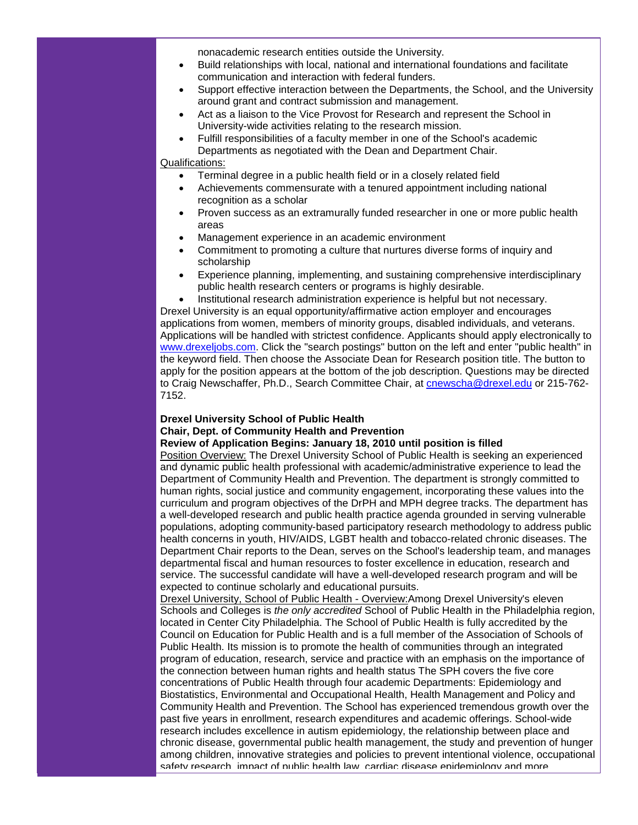nonacademic research entities outside the University.

- Build relationships with local, national and international foundations and facilitate communication and interaction with federal funders.
- Support effective interaction between the Departments, the School, and the University around grant and contract submission and management.
- Act as a liaison to the Vice Provost for Research and represent the School in University-wide activities relating to the research mission.
- Fulfill responsibilities of a faculty member in one of the School's academic Departments as negotiated with the Dean and Department Chair.

Qualifications:

- Terminal degree in a public health field or in a closely related field
- Achievements commensurate with a tenured appointment including national recognition as a scholar
- Proven success as an extramurally funded researcher in one or more public health areas
- Management experience in an academic environment
- Commitment to promoting a culture that nurtures diverse forms of inquiry and scholarship
- Experience planning, implementing, and sustaining comprehensive interdisciplinary public health research centers or programs is highly desirable.
- Institutional research administration experience is helpful but not necessary.

Drexel University is an equal opportunity/affirmative action employer and encourages applications from women, members of minority groups, disabled individuals, and veterans. Applications will be handled with strictest confidence. Applicants should apply electronically to [www.drexeljobs.com.](http://rs6.net/tn.jsp?et=1102939693473&s=1&e=001B8WMXQG3H7VXWvnKddMydD7CThHSuwbfoEiqO3GchO6SH5BRaStv0sty6-YhMhbGIcv1bTGrO-mUTs54ZR6RY-3UB303dlzXCkOTsaofwri8AUTtggv-Yg==) Click the "search postings" button on the left and enter "public health" in the keyword field. Then choose the Associate Dean for Research position title. The button to apply for the position appears at the bottom of the job description. Questions may be directed to Craig Newschaffer, Ph.D., Search Committee Chair, at [cnewscha@drexel.edu](mailto:cnewscha@drexel.edu) or 215-762-7152.

## **Drexel University School of Public Health**

**Chair, Dept. of Community Health and Prevention**

## **Review of Application Begins: January 18, 2010 until position is filled**

Position Overview: The Drexel University School of Public Health is seeking an experienced and dynamic public health professional with academic/administrative experience to lead the Department of Community Health and Prevention. The department is strongly committed to human rights, social justice and community engagement, incorporating these values into the curriculum and program objectives of the DrPH and MPH degree tracks. The department has a well-developed research and public health practice agenda grounded in serving vulnerable populations, adopting community-based participatory research methodology to address public health concerns in youth, HIV/AIDS, LGBT health and tobacco-related chronic diseases. The Department Chair reports to the Dean, serves on the School's leadership team, and manages departmental fiscal and human resources to foster excellence in education, research and service. The successful candidate will have a well-developed research program and will be expected to continue scholarly and educational pursuits.

Drexel University, School of Public Health - Overview:Among Drexel University's eleven Schools and Colleges is *the only accredited* School of Public Health in the Philadelphia region, located in Center City Philadelphia. The School of Public Health is fully accredited by the Council on Education for Public Health and is a full member of the Association of Schools of Public Health. Its mission is to promote the health of communities through an integrated program of education, research, service and practice with an emphasis on the importance of the connection between human rights and health status The SPH covers the five core concentrations of Public Health through four academic Departments: Epidemiology and Biostatistics, Environmental and Occupational Health, Health Management and Policy and Community Health and Prevention. The School has experienced tremendous growth over the past five years in enrollment, research expenditures and academic offerings. School-wide research includes excellence in autism epidemiology, the relationship between place and chronic disease, governmental public health management, the study and prevention of hunger among children, innovative strategies and policies to prevent intentional violence, occupational safety research, impact of public health law, cardiac disease epidemiology and more.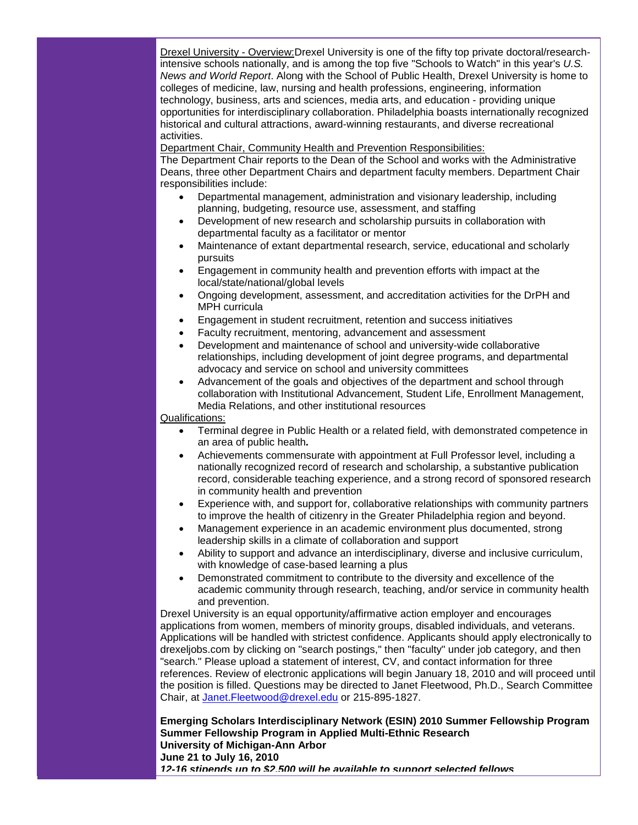Drexel University - Overview:Drexel University is one of the fifty top private doctoral/researchintensive schools nationally, and is among the top five "Schools to Watch" in this year's *U.S. News and World Report*. Along with the School of Public Health, Drexel University is home to colleges of medicine, law, nursing and health professions, engineering, information technology, business, arts and sciences, media arts, and education - providing unique opportunities for interdisciplinary collaboration. Philadelphia boasts internationally recognized historical and cultural attractions, award-winning restaurants, and diverse recreational activities.

Department Chair, Community Health and Prevention Responsibilities:

The Department Chair reports to the Dean of the School and works with the Administrative Deans, three other Department Chairs and department faculty members. Department Chair responsibilities include:

- Departmental management, administration and visionary leadership, including planning, budgeting, resource use, assessment, and staffing
- Development of new research and scholarship pursuits in collaboration with departmental faculty as a facilitator or mentor
- Maintenance of extant departmental research, service, educational and scholarly pursuits
- Engagement in community health and prevention efforts with impact at the local/state/national/global levels
- Ongoing development, assessment, and accreditation activities for the DrPH and MPH curricula
- Engagement in student recruitment, retention and success initiatives
- Faculty recruitment, mentoring, advancement and assessment
- Development and maintenance of school and university-wide collaborative relationships, including development of joint degree programs, and departmental advocacy and service on school and university committees
- Advancement of the goals and objectives of the department and school through collaboration with Institutional Advancement, Student Life, Enrollment Management, Media Relations, and other institutional resources

#### Qualifications:

- Terminal degree in Public Health or a related field, with demonstrated competence in an area of public health*.*
- Achievements commensurate with appointment at Full Professor level, including a nationally recognized record of research and scholarship, a substantive publication record, considerable teaching experience, and a strong record of sponsored research in community health and prevention
- Experience with, and support for, collaborative relationships with community partners to improve the health of citizenry in the Greater Philadelphia region and beyond.
- Management experience in an academic environment plus documented, strong leadership skills in a climate of collaboration and support
- Ability to support and advance an interdisciplinary, diverse and inclusive curriculum, with knowledge of case-based learning a plus
- Demonstrated commitment to contribute to the diversity and excellence of the academic community through research, teaching, and/or service in community health and prevention.

Drexel University is an equal opportunity/affirmative action employer and encourages applications from women, members of minority groups, disabled individuals, and veterans. Applications will be handled with strictest confidence. Applicants should apply electronically to drexeljobs.com by clicking on "search postings," then "faculty" under job category, and then "search." Please upload a statement of interest, CV, and contact information for three references. Review of electronic applications will begin January 18, 2010 and will proceed until the position is filled. Questions may be directed to Janet Fleetwood, Ph.D., Search Committee Chair, at [Janet.Fleetwood@drexel.edu](mailto:Janet.Fleetwood@drexel.edu) or 215-895-1827.

**Emerging Scholars Interdisciplinary Network (ESIN) 2010 Summer Fellowship Program Summer Fellowship Program in Applied Multi-Ethnic Research University of Michigan-Ann Arbor June 21 to July 16, 2010** *12-16 stipends up to \$2,500 will be available to support selected fellows*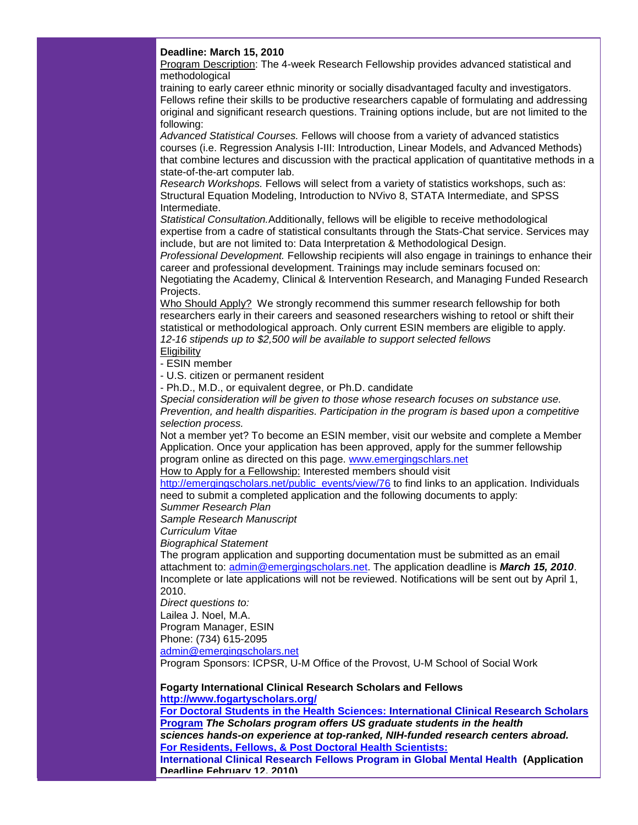## **Deadline: March 15, 2010**

Program Description: The 4-week Research Fellowship provides advanced statistical and methodological

training to early career ethnic minority or socially disadvantaged faculty and investigators. Fellows refine their skills to be productive researchers capable of formulating and addressing original and significant research questions. Training options include, but are not limited to the following:

*Advanced Statistical Courses.* Fellows will choose from a variety of advanced statistics courses (i.e. Regression Analysis I-III: Introduction, Linear Models, and Advanced Methods) that combine lectures and discussion with the practical application of quantitative methods in a state-of-the-art computer lab.

*Research Workshops.* Fellows will select from a variety of statistics workshops, such as: Structural Equation Modeling, Introduction to NVivo 8, STATA Intermediate, and SPSS Intermediate.

*Statistical Consultation.*Additionally, fellows will be eligible to receive methodological expertise from a cadre of statistical consultants through the Stats-Chat service. Services may include, but are not limited to: Data Interpretation & Methodological Design.

*Professional Development.* Fellowship recipients will also engage in trainings to enhance their career and professional development. Trainings may include seminars focused on:

Negotiating the Academy, Clinical & Intervention Research, and Managing Funded Research Projects.

Who Should Apply? We strongly recommend this summer research fellowship for both researchers early in their careers and seasoned researchers wishing to retool or shift their statistical or methodological approach. Only current ESIN members are eligible to apply. *12-16 stipends up to \$2,500 will be available to support selected fellows*

**Eligibility** 

- ESIN member

- U.S. citizen or permanent resident

- Ph.D., M.D., or equivalent degree, or Ph.D. candidate

*Special consideration will be given to those whose research focuses on substance use. Prevention, and health disparities. Participation in the program is based upon a competitive selection process.*

Not a member yet? To become an ESIN member, visit our website and complete a Member Application. Once your application has been approved, apply for the summer fellowship program online as directed on this page. [www.emergingschlars.net](http://rs6.net/tn.jsp?et=1102939693473&s=1&e=001B8WMXQG3H7XccSclxz1hqRoiLCTSO5Ev8dTAGL_D7ES9SFztZUUUq5PRt5budZuxxoW5dKbXasp99MqqwHb9XJ57LdWFBDcxRIol-QDko3d9yBU0Kjqzwg==)

How to Apply for a Fellowship: Interested members should visit

[http://emergingscholars.net/public\\_events/view/76](http://rs6.net/tn.jsp?et=1102939693473&s=1&e=001B8WMXQG3H7WD_bPIIdOWRFzp89FEmTPmfHaGqbd8ID2zS5Zmrx9yDOMECDZPth8HVAIpjjD932yWryUgT-wNASePu_Vkyq6DpOCcyB2tStxZ4A55ihJtN18khxdmCJGAzvbOFm7mFr8=) to find links to an application. Individuals need to submit a completed application and the following documents to apply:

*Summer Research Plan*

*Sample Research Manuscript*

*Curriculum Vitae*

*Biographical Statement*

The program application and supporting documentation must be submitted as an email attachment to: [admin@emergingscholars.net.](mailto:admin@emergingscholars.net) The application deadline is *March 15, 2010*. Incomplete or late applications will not be reviewed. Notifications will be sent out by April 1, 2010.

*Direct questions to:*

Lailea J. Noel, M.A.

Program Manager, ESIN

Phone: (734) 615-2095

[admin@emergingscholars.net](mailto:admin@emergingscholars.net)

Program Sponsors: ICPSR, U-M Office of the Provost, U-M School of Social Work

## **Fogarty International Clinical Research Scholars and Fellows [http://www.fogartyscholars.org/](http://rs6.net/tn.jsp?et=1102939693473&s=1&e=001B8WMXQG3H7Vgy49TlFt1eha1ekJbBJcHgWLCRuPcEfIqEDYxRVTYsB7FPZGIbiDcmlGTvbo0ZiYN1qEC2fTze8inDgwNbg0zDJebj6KpaPi9R3Z4961DwQ==)**

**[For Doctoral Students in the Health Sciences: International Clinical Research Scholars](http://rs6.net/tn.jsp?et=1102939693473&s=1&e=001B8WMXQG3H7VBUItTRVBGPmZL_PWyRMMgV8to7z8gDLHmcSIBAoZnEEYKB7hy96RgCL3UqNMqOoYDOfwNxPpJSlT9MTSvz_xURH6NpUn4Qk97qlrM2o7L3a14erHdSA059ZaBUStQfjefXguVdk5BZnBdP_cy9iTXoRHCCq5eDnvZ6nAiTSo0pkOs17ybDTCVIuES-Lg2V4g=)  Program** *The Scholars program offers US graduate students in the health* 

*sciences hands-on experience at top-ranked, NIH-funded research centers abroad.* **[For Residents, Fellows, & Post Doctoral Health Scientists:](http://rs6.net/tn.jsp?et=1102939693473&s=1&e=001B8WMXQG3H7VaaXHN1ouAiJyLUJd3L2lWohJE8OCXoKsoVEiSDEccbegSXWjfBV22CqP4aa23uQYz-QcqmllsKX0ZXdH5QR9jltUiC6j2UbbUSuK-g_GVjI5HXU1wLv_lsvFMwGKGtMRcbRawdQwdorC-Bt63Ej53)** 

**[International Clinical Research Fellows Program in Global Mental Health](http://rs6.net/tn.jsp?et=1102939693473&s=1&e=001B8WMXQG3H7VaaXHN1ouAiJyLUJd3L2lWohJE8OCXoKsoVEiSDEccbegSXWjfBV22CqP4aa23uQYz-QcqmllsKX0ZXdH5QR9jltUiC6j2UbbUSuK-g_GVjI5HXU1wLv_lsvFMwGKGtMRcbRawdQwdorC-Bt63Ej53) (Application Deadline February 12, 2010)**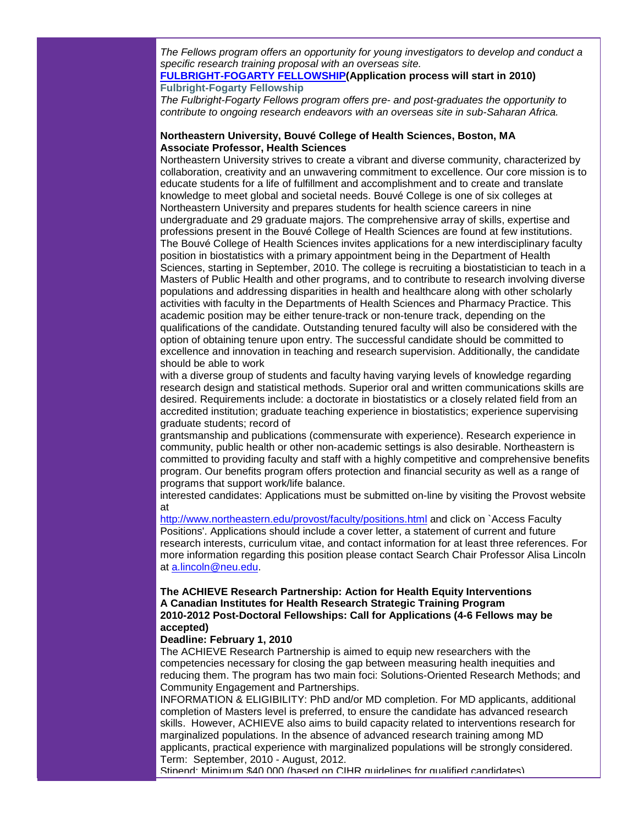*The Fellows program offers an opportunity for young investigators to develop and conduct a specific research training proposal with an overseas site.*

## **[FULBRIGHT-FOGARTY FELLOWSHIP\(](http://rs6.net/tn.jsp?et=1102939693473&s=1&e=001B8WMXQG3H7Xzek0GI6-Vl2g1C6CV_g7vnDau7Dnq8TmnEaKesRtNhzZkaG6VoFn1dj7wFK2zomaie4xqREJE0FOHUGvQRhqS03ofte8NsfAE2SrMZId6lQG4uPb7haNSol3yTRTYjDngV9rrFB7pxyplEqyomHtbuukazBiEF_erTT70x45mXPf8NcDvV60hxWn8FZ8j9mC8X7spQCz_yw==)Application process will start in 2010) [Fulbright-Fogarty Fellowship](http://rs6.net/tn.jsp?et=1102939693473&s=1&e=001B8WMXQG3H7Xzek0GI6-Vl2g1C6CV_g7vnDau7Dnq8TmnEaKesRtNhzZkaG6VoFn1dj7wFK2zomaie4xqREJE0FOHUGvQRhqS03ofte8NsfAE2SrMZId6lQG4uPb7haNSol3yTRTYjDngV9rrFB7pxyplEqyomHtbuukazBiEF_erTT70x45mXPf8NcDvV60hxWn8FZ8j9mC8X7spQCz_yw==)**

*The Fulbright-Fogarty Fellows program offers pre- and post-graduates the opportunity to contribute to ongoing research endeavors with an overseas site in sub-Saharan Africa.* 

## **Northeastern University, Bouvé College of Health Sciences, Boston, MA Associate Professor, Health Sciences**

Northeastern University strives to create a vibrant and diverse community, characterized by collaboration, creativity and an unwavering commitment to excellence. Our core mission is to educate students for a life of fulfillment and accomplishment and to create and translate knowledge to meet global and societal needs. Bouvé College is one of six colleges at Northeastern University and prepares students for health science careers in nine undergraduate and 29 graduate majors. The comprehensive array of skills, expertise and professions present in the Bouvé College of Health Sciences are found at few institutions. The Bouvé College of Health Sciences invites applications for a new interdisciplinary faculty position in biostatistics with a primary appointment being in the Department of Health Sciences, starting in September, 2010. The college is recruiting a biostatistician to teach in a Masters of Public Health and other programs, and to contribute to research involving diverse populations and addressing disparities in health and healthcare along with other scholarly activities with faculty in the Departments of Health Sciences and Pharmacy Practice. This academic position may be either tenure-track or non-tenure track, depending on the qualifications of the candidate. Outstanding tenured faculty will also be considered with the option of obtaining tenure upon entry. The successful candidate should be committed to excellence and innovation in teaching and research supervision. Additionally, the candidate should be able to work

with a diverse group of students and faculty having varying levels of knowledge regarding research design and statistical methods. Superior oral and written communications skills are desired. Requirements include: a doctorate in biostatistics or a closely related field from an accredited institution; graduate teaching experience in biostatistics; experience supervising graduate students; record of

grantsmanship and publications (commensurate with experience). Research experience in community, public health or other non-academic settings is also desirable. Northeastern is committed to providing faculty and staff with a highly competitive and comprehensive benefits program. Our benefits program offers protection and financial security as well as a range of programs that support work/life balance.

interested candidates: Applications must be submitted on-line by visiting the Provost website at

[http://www.northeastern.edu/provost/faculty/positions.html](http://rs6.net/tn.jsp?et=1102939693473&s=1&e=001B8WMXQG3H7U6xxYK0Ao0q46kpnslUG5NbevjWtqXpjtq7_eEw-35BKfLIbSuqIL30JP3QsNQH-Beu3AsIvQC4uug5oISlRPYcAl6LP-vLVdhpWNhaVxnEU-JOp-rfqxAl7PTWdgUqyGsUIOWRKGc8nAyExCKUFdd) and click on `Access Faculty Positions'. Applications should include a cover letter, a statement of current and future research interests, curriculum vitae, and contact information for at least three references. For more information regarding this position please contact Search Chair Professor Alisa Lincoln at [a.lincoln@neu.edu.](mailto:a.lincoln@neu.edu)

## **The ACHIEVE Research Partnership: Action for Health Equity Interventions A Canadian Institutes for Health Research Strategic Training Program 2010-2012 Post-Doctoral Fellowships: Call for Applications (4-6 Fellows may be accepted)**

## **Deadline: February 1, 2010**

The ACHIEVE Research Partnership is aimed to equip new researchers with the competencies necessary for closing the gap between measuring health inequities and reducing them. The program has two main foci: Solutions-Oriented Research Methods; and Community Engagement and Partnerships.

INFORMATION & ELIGIBILITY: PhD and/or MD completion. For MD applicants, additional completion of Masters level is preferred, to ensure the candidate has advanced research skills. However, ACHIEVE also aims to build capacity related to interventions research for marginalized populations. In the absence of advanced research training among MD applicants, practical experience with marginalized populations will be strongly considered. Term: September, 2010 - August, 2012.

Stipend: Minimum \$40,000 (based on CIHR guidelines for qualified candidates).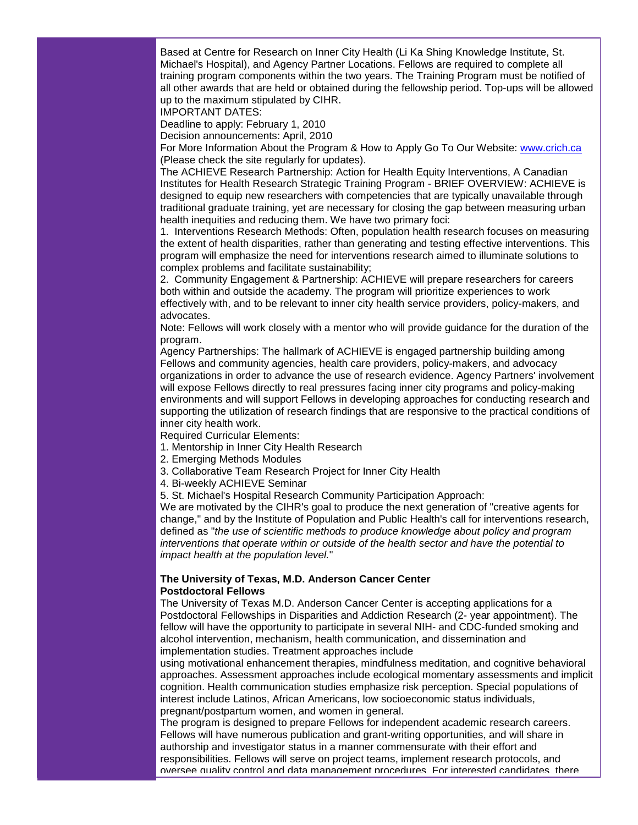Based at Centre for Research on Inner City Health (Li Ka Shing Knowledge Institute, St. Michael's Hospital), and Agency Partner Locations. Fellows are required to complete all training program components within the two years. The Training Program must be notified of all other awards that are held or obtained during the fellowship period. Top-ups will be allowed up to the maximum stipulated by CIHR.

IMPORTANT DATES:

Deadline to apply: February 1, 2010

Decision announcements: April, 2010

For More Information About the Program & How to Apply Go To Our Website: [www.crich.ca](http://rs6.net/tn.jsp?et=1102939693473&s=1&e=001B8WMXQG3H7WtZxWFPNiKbvfN-24SZ12T6MbLBwCiwnVD4jRoP9I2ubRUNjWoyjiDUsFRR-W_fbxuMQDMqrEhFxQhTa26w1-lF6GoUoRCBuI=) (Please check the site regularly for updates).

The ACHIEVE Research Partnership: Action for Health Equity Interventions, A Canadian Institutes for Health Research Strategic Training Program - BRIEF OVERVIEW: ACHIEVE is designed to equip new researchers with competencies that are typically unavailable through traditional graduate training, yet are necessary for closing the gap between measuring urban health inequities and reducing them. We have two primary foci:

1. Interventions Research Methods: Often, population health research focuses on measuring the extent of health disparities, rather than generating and testing effective interventions. This program will emphasize the need for interventions research aimed to illuminate solutions to complex problems and facilitate sustainability;

2. Community Engagement & Partnership: ACHIEVE will prepare researchers for careers both within and outside the academy. The program will prioritize experiences to work effectively with, and to be relevant to inner city health service providers, policy-makers, and advocates.

Note: Fellows will work closely with a mentor who will provide guidance for the duration of the program.

Agency Partnerships: The hallmark of ACHIEVE is engaged partnership building among Fellows and community agencies, health care providers, policy-makers, and advocacy organizations in order to advance the use of research evidence. Agency Partners' involvement will expose Fellows directly to real pressures facing inner city programs and policy-making environments and will support Fellows in developing approaches for conducting research and supporting the utilization of research findings that are responsive to the practical conditions of inner city health work.

Required Curricular Elements:

- 1. Mentorship in Inner City Health Research
- 2. Emerging Methods Modules
- 3. Collaborative Team Research Project for Inner City Health
- 4. Bi-weekly ACHIEVE Seminar

5. St. Michael's Hospital Research Community Participation Approach:

We are motivated by the CIHR's goal to produce the next generation of "creative agents for change," and by the Institute of Population and Public Health's call for interventions research, defined as "*the use of scientific methods to produce knowledge about policy and program interventions that operate within or outside of the health sector and have the potential to impact health at the population level.*"

## **The University of Texas, M.D. Anderson Cancer Center Postdoctoral Fellows**

The University of Texas M.D. Anderson Cancer Center is accepting applications for a Postdoctoral Fellowships in Disparities and Addiction Research (2- year appointment). The fellow will have the opportunity to participate in several NIH- and CDC-funded smoking and alcohol intervention, mechanism, health communication, and dissemination and implementation studies. Treatment approaches include

using motivational enhancement therapies, mindfulness meditation, and cognitive behavioral approaches. Assessment approaches include ecological momentary assessments and implicit cognition. Health communication studies emphasize risk perception. Special populations of interest include Latinos, African Americans, low socioeconomic status individuals, pregnant/postpartum women, and women in general.

The program is designed to prepare Fellows for independent academic research careers. Fellows will have numerous publication and grant-writing opportunities, and will share in authorship and investigator status in a manner commensurate with their effort and responsibilities. Fellows will serve on project teams, implement research protocols, and oversee quality control and data management procedures. For interested candidates, there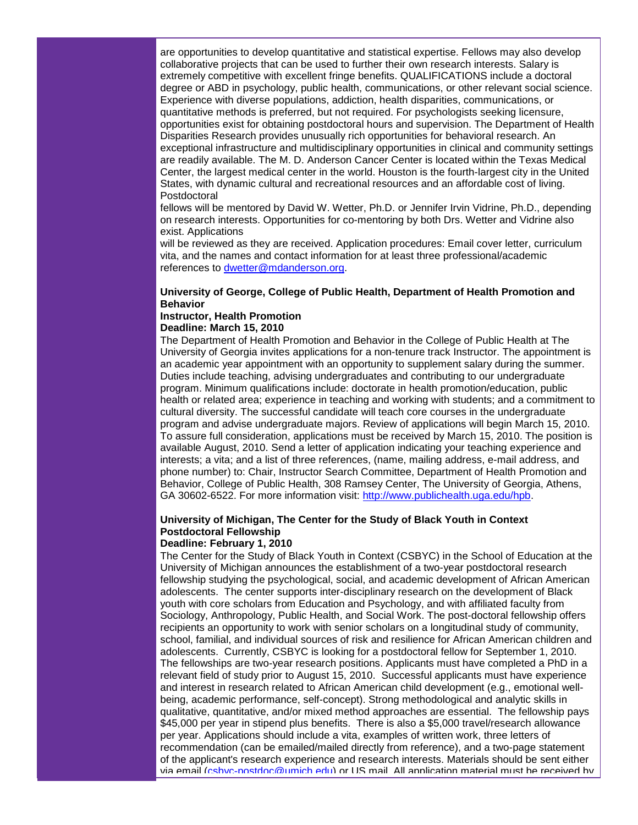are opportunities to develop quantitative and statistical expertise. Fellows may also develop collaborative projects that can be used to further their own research interests. Salary is extremely competitive with excellent fringe benefits. QUALIFICATIONS include a doctoral degree or ABD in psychology, public health, communications, or other relevant social science. Experience with diverse populations, addiction, health disparities, communications, or quantitative methods is preferred, but not required. For psychologists seeking licensure, opportunities exist for obtaining postdoctoral hours and supervision. The Department of Health Disparities Research provides unusually rich opportunities for behavioral research. An exceptional infrastructure and multidisciplinary opportunities in clinical and community settings are readily available. The M. D. Anderson Cancer Center is located within the Texas Medical Center, the largest medical center in the world. Houston is the fourth-largest city in the United States, with dynamic cultural and recreational resources and an affordable cost of living. Postdoctoral

fellows will be mentored by David W. Wetter, Ph.D. or Jennifer Irvin Vidrine, Ph.D., depending on research interests. Opportunities for co-mentoring by both Drs. Wetter and Vidrine also exist. Applications

will be reviewed as they are received. Application procedures: Email cover letter, curriculum vita, and the names and contact information for at least three professional/academic references to [dwetter@mdanderson.org.](mailto:dwetter@mdanderson.org)

## **University of George, College of Public Health, Department of Health Promotion and Behavior**

#### **Instructor, Health Promotion Deadline: March 15, 2010**

The Department of Health Promotion and Behavior in the College of Public Health at The University of Georgia invites applications for a non-tenure track Instructor. The appointment is an academic year appointment with an opportunity to supplement salary during the summer. Duties include teaching, advising undergraduates and contributing to our undergraduate program. Minimum qualifications include: doctorate in health promotion/education, public health or related area; experience in teaching and working with students; and a commitment to cultural diversity. The successful candidate will teach core courses in the undergraduate program and advise undergraduate majors. Review of applications will begin March 15, 2010. To assure full consideration, applications must be received by March 15, 2010. The position is available August, 2010. Send a letter of application indicating your teaching experience and interests; a vita; and a list of three references, (name, mailing address, e-mail address, and phone number) to: Chair, Instructor Search Committee, Department of Health Promotion and Behavior, College of Public Health, 308 Ramsey Center, The University of Georgia, Athens, GA 30602-6522. For more information visit: [http://www.publichealth.uga.edu/hpb.](http://rs6.net/tn.jsp?et=1102939693473&s=1&e=001B8WMXQG3H7VVwHlE-UiuQPJM_I4H7dHOi7s3t-A9DctpOIAnPbRhTG8DA66W3N3amH5B3r_SgYvaiD2NzGfWmy4y_gvp0mlgIVaC4evu1Xf7OFpgzCmY_pxZI4AoupVv)

# **University of Michigan, The Center for the Study of Black Youth in Context Postdoctoral Fellowship**

## **Deadline: February 1, 2010**

The Center for the Study of Black Youth in Context (CSBYC) in the School of Education at the University of Michigan announces the establishment of a two-year postdoctoral research fellowship studying the psychological, social, and academic development of African American adolescents. The center supports inter-disciplinary research on the development of Black youth with core scholars from Education and Psychology, and with affiliated faculty from Sociology, Anthropology, Public Health, and Social Work. The post-doctoral fellowship offers recipients an opportunity to work with senior scholars on a longitudinal study of community, school, familial, and individual sources of risk and resilience for African American children and adolescents. Currently, CSBYC is looking for a postdoctoral fellow for September 1, 2010. The fellowships are two-year research positions. Applicants must have completed a PhD in a relevant field of study prior to August 15, 2010. Successful applicants must have experience and interest in research related to African American child development (e.g., emotional wellbeing, academic performance, self-concept). Strong methodological and analytic skills in qualitative, quantitative, and/or mixed method approaches are essential. The fellowship pays \$45,000 per year in stipend plus benefits. There is also a \$5,000 travel/research allowance per year. Applications should include a vita, examples of written work, three letters of recommendation (can be emailed/mailed directly from reference), and a two-page statement of the applicant's research experience and research interests. Materials should be sent either via email [\(csbyc-postdoc@umich.edu\)](mailto:csbyc-postdoc@umich.edu) or US mail. All application material must be received by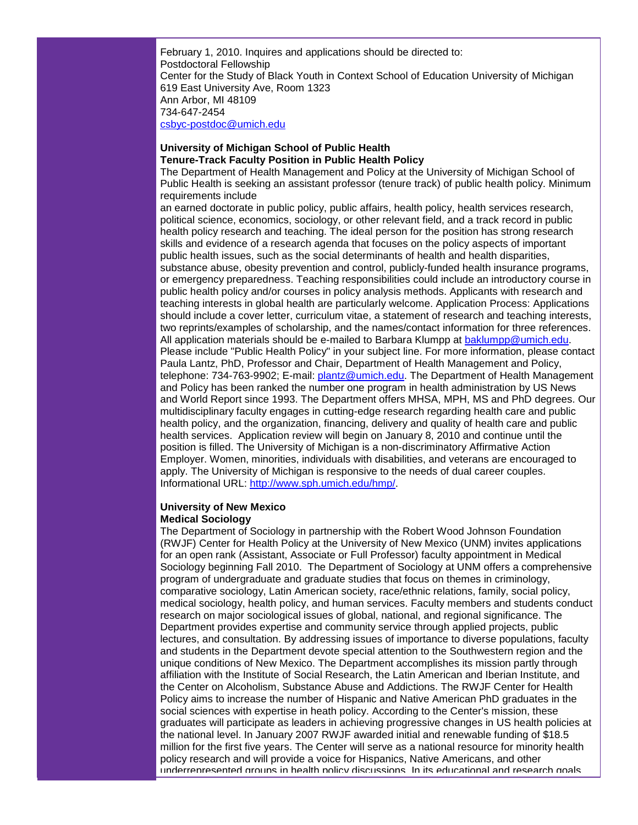February 1, 2010. Inquires and applications should be directed to: Postdoctoral Fellowship Center for the Study of Black Youth in Context School of Education University of Michigan 619 East University Ave, Room 1323 Ann Arbor, MI 48109 734-647-2454 [csbyc-postdoc@umich.edu](mailto:csbyc-postdoc@umich.edu)

## **University of Michigan School of Public Health Tenure-Track Faculty Position in Public Health Policy**

The Department of Health Management and Policy at the University of Michigan School of Public Health is seeking an assistant professor (tenure track) of public health policy. Minimum requirements include

an earned doctorate in public policy, public affairs, health policy, health services research, political science, economics, sociology, or other relevant field, and a track record in public health policy research and teaching. The ideal person for the position has strong research skills and evidence of a research agenda that focuses on the policy aspects of important public health issues, such as the social determinants of health and health disparities, substance abuse, obesity prevention and control, publicly-funded health insurance programs, or emergency preparedness. Teaching responsibilities could include an introductory course in public health policy and/or courses in policy analysis methods. Applicants with research and teaching interests in global health are particularly welcome. Application Process: Applications should include a cover letter, curriculum vitae, a statement of research and teaching interests, two reprints/examples of scholarship, and the names/contact information for three references. All application materials should be e-mailed to Barbara Klumpp at [baklumpp@umich.edu.](mailto:baklumpp@umich.edu) Please include "Public Health Policy" in your subject line. For more information, please contact Paula Lantz, PhD, Professor and Chair, Department of Health Management and Policy, telephone: 734-763-9902; E-mail: [plantz@umich.edu.](mailto:plantz@umich.edu) The Department of Health Management and Policy has been ranked the number one program in health administration by US News and World Report since 1993. The Department offers MHSA, MPH, MS and PhD degrees. Our multidisciplinary faculty engages in cutting-edge research regarding health care and public health policy, and the organization, financing, delivery and quality of health care and public health services. Application review will begin on January 8, 2010 and continue until the position is filled. The University of Michigan is a non-discriminatory Affirmative Action Employer. Women, minorities, individuals with disabilities, and veterans are encouraged to apply. The University of Michigan is responsive to the needs of dual career couples. Informational URL: [http://www.sph.umich.edu/hmp/.](http://rs6.net/tn.jsp?et=1102939693473&s=1&e=001B8WMXQG3H7XLaQ8TM5aFmFSzVAwP8VOfTcRm_n9qB-iC3Pbts1MvZ40aLCpjWwNmjcAe9aJ4_YaJNxnArIaLDnmgfMyTfILZet6hHfQswyLhyaN5kkePbA==)

## **University of New Mexico Medical Sociology**

The Department of Sociology in partnership with the Robert Wood Johnson Foundation (RWJF) Center for Health Policy at the University of New Mexico (UNM) invites applications for an open rank (Assistant, Associate or Full Professor) faculty appointment in Medical Sociology beginning Fall 2010. The Department of Sociology at UNM offers a comprehensive program of undergraduate and graduate studies that focus on themes in criminology, comparative sociology, Latin American society, race/ethnic relations, family, social policy, medical sociology, health policy, and human services. Faculty members and students conduct research on major sociological issues of global, national, and regional significance. The Department provides expertise and community service through applied projects, public lectures, and consultation. By addressing issues of importance to diverse populations, faculty and students in the Department devote special attention to the Southwestern region and the unique conditions of New Mexico. The Department accomplishes its mission partly through affiliation with the Institute of Social Research, the Latin American and Iberian Institute, and the Center on Alcoholism, Substance Abuse and Addictions. The RWJF Center for Health Policy aims to increase the number of Hispanic and Native American PhD graduates in the social sciences with expertise in heath policy. According to the Center's mission, these graduates will participate as leaders in achieving progressive changes in US health policies at the national level. In January 2007 RWJF awarded initial and renewable funding of \$18.5 million for the first five years. The Center will serve as a national resource for minority health policy research and will provide a voice for Hispanics, Native Americans, and other underrepresented groups in health policy discussions. In its educational and research goals,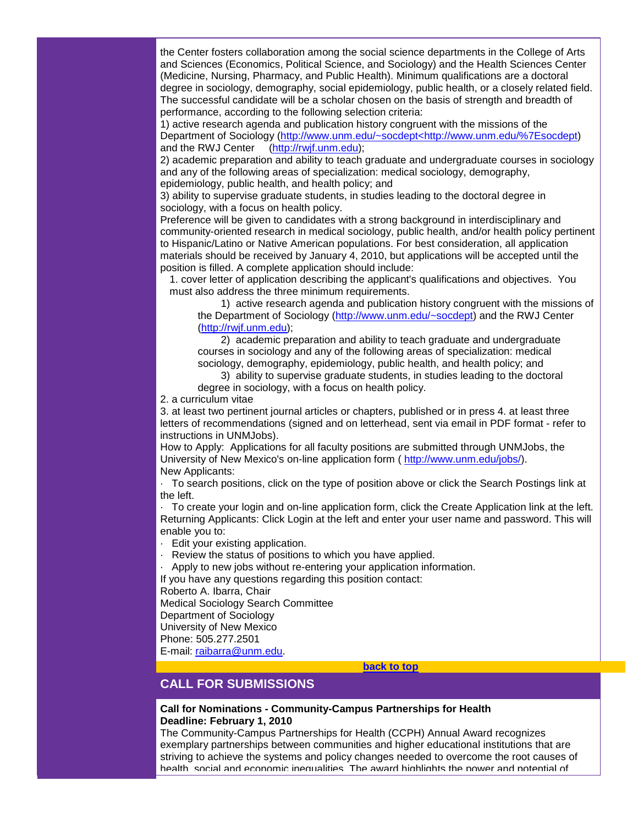the Center fosters collaboration among the social science departments in the College of Arts and Sciences (Economics, Political Science, and Sociology) and the Health Sciences Center (Medicine, Nursing, Pharmacy, and Public Health). Minimum qualifications are a doctoral degree in sociology, demography, social epidemiology, public health, or a closely related field. The successful candidate will be a scholar chosen on the basis of strength and breadth of performance, according to the following selection criteria:

1) active research agenda and publication history congruent with the missions of the Department of Sociology [\(http://www.unm.edu/~socdept<http://www.unm.edu/%7Esocdept\)](http://rs6.net/tn.jsp?et=1102939693473&s=1&e=001B8WMXQG3H7VPc3C2gmEKlqNNNWs_mKArW9TXrXKsHom0SONvOQpHM8o8fCc9FBUlqxbtpLPjC0Jy7Vz1ZEc2az2xHs8Y2GES0C5lzRCVsqxv9W880T6-RxxiZxtv8Nsi6zy092defxfLfuT4SNdRwcSe_xx_2eSi48ZGNbe8F-8=) and the RWJ Center [\(http://rwjf.unm.edu\)](http://rs6.net/tn.jsp?et=1102939693473&s=1&e=001B8WMXQG3H7XiOL8Rp1WdpKH-WDC8cy_rEE4lzYmGs0hPn9DivKwrU1ugoqHnfD3Dg7AqbvTZjidf5SVgCcQB6BqTSgPLB7K1V4biBTsPsEI=);

2) academic preparation and ability to teach graduate and undergraduate courses in sociology and any of the following areas of specialization: medical sociology, demography, epidemiology, public health, and health policy; and

3) ability to supervise graduate students, in studies leading to the doctoral degree in sociology, with a focus on health policy.

Preference will be given to candidates with a strong background in interdisciplinary and community-oriented research in medical sociology, public health, and/or health policy pertinent to Hispanic/Latino or Native American populations. For best consideration, all application materials should be received by January 4, 2010, but applications will be accepted until the position is filled. A complete application should include:

1. cover letter of application describing the applicant's qualifications and objectives. You must also address the three minimum requirements.

 1) active research agenda and publication history congruent with the missions of the Department of Sociology [\(http://www.unm.edu/~socdept\)](http://rs6.net/tn.jsp?et=1102939693473&s=1&e=001B8WMXQG3H7UNtj10rL_HF4pRDEBDTcpoxEs2c9rMMdVyuYRmGXyqjNrd4_zSArjrKies-eu6Tv_EOm9jIXiyesKw9lE11YiLo5jLdi4bcZqhURfzDqO_-g==) and the RWJ Center [\(http://rwjf.unm.edu\)](http://rs6.net/tn.jsp?et=1102939693473&s=1&e=001B8WMXQG3H7XiOL8Rp1WdpKH-WDC8cy_rEE4lzYmGs0hPn9DivKwrU1ugoqHnfD3Dg7AqbvTZjidf5SVgCcQB6BqTSgPLB7K1V4biBTsPsEI=);

 2) academic preparation and ability to teach graduate and undergraduate courses in sociology and any of the following areas of specialization: medical sociology, demography, epidemiology, public health, and health policy; and

 3) ability to supervise graduate students, in studies leading to the doctoral degree in sociology, with a focus on health policy.

2. a curriculum vitae

3. at least two pertinent journal articles or chapters, published or in press 4. at least three letters of recommendations (signed and on letterhead, sent via email in PDF format - refer to instructions in UNMJobs).

How to Apply: Applications for all faculty positions are submitted through UNMJobs, the University of New Mexico's on-line application form ( [http://www.unm.edu/jobs/\)](http://rs6.net/tn.jsp?et=1102939693473&s=1&e=001B8WMXQG3H7VOYgRKsteaWlhsrd8bq6fsf7mdvXnGlz4kLuk_TzZqBRfiaEOmV5Jp_YBa8dPOLw3RcBgTvS-uq5NHxoOd6jsCTII3iAF4X22N4lrE5wp0pQ==). New Applicants:

· To search positions, click on the type of position above or click the Search Postings link at the left.

· To create your login and on-line application form, click the Create Application link at the left. Returning Applicants: Click Login at the left and enter your user name and password. This will enable you to:

· Edit your existing application.

Review the status of positions to which you have applied.

· Apply to new jobs without re-entering your application information.

If you have any questions regarding this position contact:

Roberto A. Ibarra, Chair

Medical Sociology Search Committee

Department of Sociology

University of New Mexico

Phone: 505.277.2501

E-mail: [raibarra@unm.edu.](mailto:raibarra@unm.edu)

**[back to top](#page-0-2)**

# <span id="page-15-0"></span>**CALL FOR SUBMISSIONS**

## **Call for Nominations - Community-Campus Partnerships for Health Deadline: February 1, 2010**

The Community-Campus Partnerships for Health (CCPH) Annual Award recognizes exemplary partnerships between communities and higher educational institutions that are striving to achieve the systems and policy changes needed to overcome the root causes of health, social and economic inequalities. The award highlights the power and potential of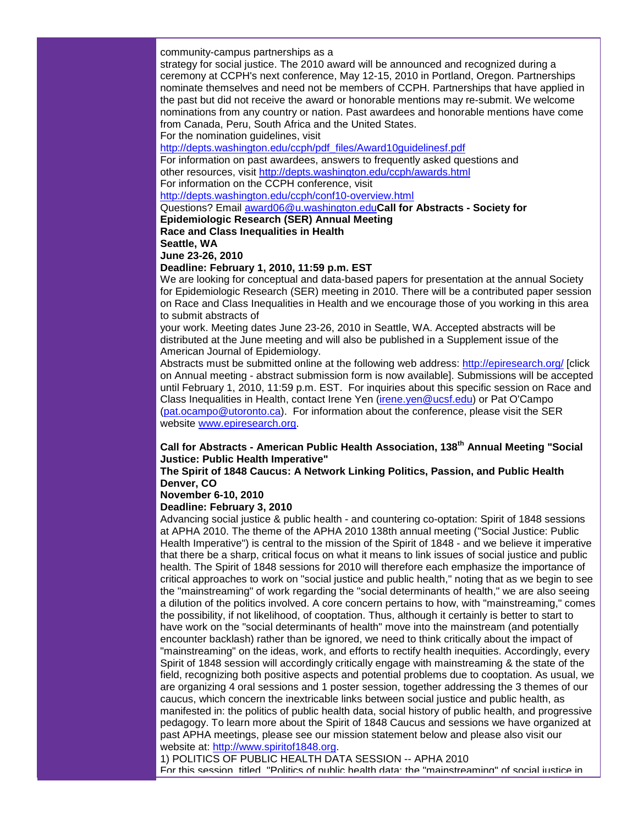community-campus partnerships as a

strategy for social justice. The 2010 award will be announced and recognized during a ceremony at CCPH's next conference, May 12-15, 2010 in Portland, Oregon. Partnerships nominate themselves and need not be members of CCPH. Partnerships that have applied in the past but did not receive the award or honorable mentions may re-submit. We welcome nominations from any country or nation. Past awardees and honorable mentions have come from Canada, Peru, South Africa and the United States.

For the nomination guidelines, visit

[http://depts.washington.edu/ccph/pdf\\_files/Award10guidelinesf.pdf](http://rs6.net/tn.jsp?et=1102939693473&s=1&e=001B8WMXQG3H7WOPhKi8YA_-L-sAdD6Np9w_4dI0U70iShTbtWk4ELJip5NSsnq4X5qNvk5hLf4p6UN8fKa3MWeqMCPP3duhKopnF3NgiVQHLV2ivuPLPscU4zTOEXCDuCNO6JFHaj6Q0v25xW2n1CKWVmZclTMUIr8I6mrX232MuE=)

For information on past awardees, answers to frequently asked questions and other resources, visit [http://depts.washington.edu/ccph/awards.html](http://rs6.net/tn.jsp?et=1102939693473&s=1&e=001B8WMXQG3H7XfEZkRA9_C2urJgRZDjKXh2X3fTfSLW4rryiSsxRbFw-yQjzcR8xAQBbgiBf8p3FZqs8CoCNijfa9j9ul73x3WqdG13WknnwdVEzFAxVkEx16LtM4gl81Yfp4zu-NDUXs=)

For information on the CCPH conference, visit

[http://depts.washington.edu/ccph/conf10-overview.html](http://rs6.net/tn.jsp?et=1102939693473&s=1&e=001B8WMXQG3H7VG9JctEgQ8t9zSZieWlsGGzvzl67Bts8EYiFXYBnFME0b5OOAki2ghkR7uX6KQgg2oWah1d0ZAKpBrFwcXZV9PK0FOkz1UOu8cK8aEGAXSBLnLBPo_vOxyKaWup1eRnrtXXufk31LUyw==)

Questions? Email [award06@u.washington.edu](mailto:award06@u.washington.edu)**Call for Abstracts - Society for** 

**Epidemiologic Research (SER) Annual Meeting**

**Race and Class Inequalities in Health**

**Seattle, WA**

**June 23-26, 2010**

**Deadline: February 1, 2010, 11:59 p.m. EST**

We are looking for conceptual and data-based papers for presentation at the annual Society for Epidemiologic Research (SER) meeting in 2010. There will be a contributed paper session on Race and Class Inequalities in Health and we encourage those of you working in this area to submit abstracts of

your work. Meeting dates June 23-26, 2010 in Seattle, WA. Accepted abstracts will be distributed at the June meeting and will also be published in a Supplement issue of the American Journal of Epidemiology.

Abstracts must be submitted online at the following web address: [http://epiresearch.org/](http://rs6.net/tn.jsp?et=1102939693473&s=1&e=001B8WMXQG3H7WE2LD1eFm4XFsBcHvbXAHf4g0xIxHDrvZd6loQdh0e9LqfInIAQRhCP3nmswOuYkTBZ65sIaaKU0wc6pkzg3Ol4PFnuhWei5I=) [click on Annual meeting - abstract submission form is now available]. Submissions will be accepted until February 1, 2010, 11:59 p.m. EST. For inquiries about this specific session on Race and Class Inequalities in Health, contact Irene Yen [\(irene.yen@ucsf.edu\)](mailto:irene.yen@ucsf.edu) or Pat O'Campo [\(pat.ocampo@utoronto.ca\)](mailto:pat.ocampo@utoronto.ca). For information about the conference, please visit the SER website [www.epiresearch.org.](http://rs6.net/tn.jsp?et=1102939693473&s=1&e=001B8WMXQG3H7U7OKDrwZRqO3JGCc5torx6xsWEVqPItrd7hx050mA6ZBC-JMoHrH7ROHBw0Nd6AvIdxOAug6pbx_O5b32oU8RO4tEMqFVs_ETknZFd0gO6rQ==)

## **Call for Abstracts - American Public Health Association, 138th Annual Meeting "Social Justice: Public Health Imperative"**

## **The Spirit of 1848 Caucus: A Network Linking Politics, Passion, and Public Health Denver, CO**

## **November 6-10, 2010**

## **Deadline: February 3, 2010**

Advancing social justice & public health - and countering co-optation: Spirit of 1848 sessions at APHA 2010. The theme of the APHA 2010 138th annual meeting ("Social Justice: Public Health Imperative") is central to the mission of the Spirit of 1848 - and we believe it imperative that there be a sharp, critical focus on what it means to link issues of social justice and public health. The Spirit of 1848 sessions for 2010 will therefore each emphasize the importance of critical approaches to work on "social justice and public health," noting that as we begin to see the "mainstreaming" of work regarding the "social determinants of health," we are also seeing a dilution of the politics involved. A core concern pertains to how, with "mainstreaming," comes the possibility, if not likelihood, of cooptation. Thus, although it certainly is better to start to have work on the "social determinants of health" move into the mainstream (and potentially encounter backlash) rather than be ignored, we need to think critically about the impact of "mainstreaming" on the ideas, work, and efforts to rectify health inequities. Accordingly, every Spirit of 1848 session will accordingly critically engage with mainstreaming & the state of the field, recognizing both positive aspects and potential problems due to cooptation. As usual, we are organizing 4 oral sessions and 1 poster session, together addressing the 3 themes of our caucus, which concern the inextricable links between social justice and public health, as manifested in: the politics of public health data, social history of public health, and progressive pedagogy. To learn more about the Spirit of 1848 Caucus and sessions we have organized at past APHA meetings, please see our mission statement below and please also visit our website at: [http://www.spiritof1848.org.](http://rs6.net/tn.jsp?et=1102939693473&s=1&e=001B8WMXQG3H7WUghoRatHSv8UBOFvJCLq_tktDQbd3rZFAfy1e8N6RIqUoUVJswipQGl9p0KvSJufUV3NMG8WELpAwkaMbmycO_cY3JN_DONmxWbukSziX3w==)

1) POLITICS OF PUBLIC HEALTH DATA SESSION -- APHA 2010

For this session, titled, "Politics of public health data: the "mainstreaming" of social justice in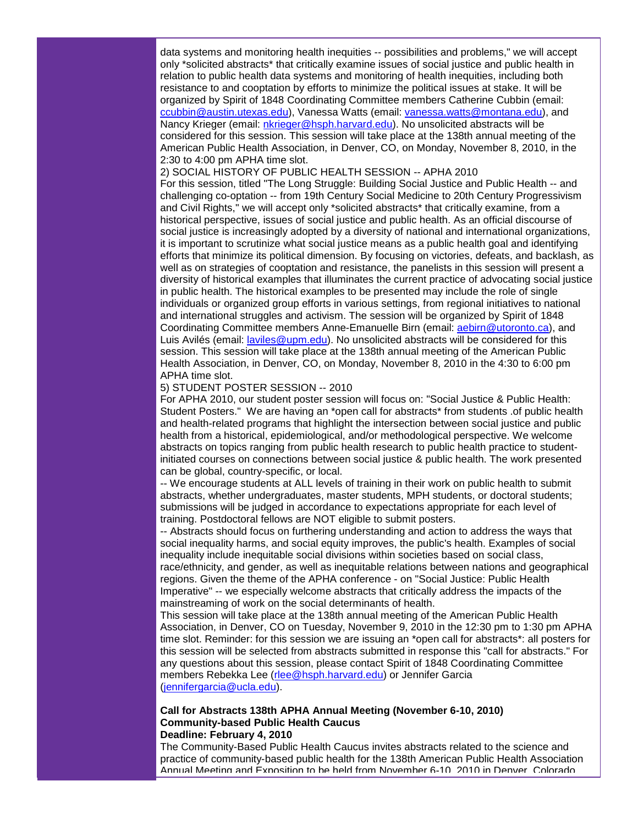data systems and monitoring health inequities -- possibilities and problems," we will accept only \*solicited abstracts\* that critically examine issues of social justice and public health in relation to public health data systems and monitoring of health inequities, including both resistance to and cooptation by efforts to minimize the political issues at stake. It will be organized by Spirit of 1848 Coordinating Committee members Catherine Cubbin (email: [ccubbin@austin.utexas.edu\)](mailto:ccubbin@austin.utexas.edu), Vanessa Watts (email: [vanessa.watts@montana.edu\)](mailto:vanessa.watts@montana.edu), and Nancy Krieger (email: [nkrieger@hsph.harvard.edu\)](mailto:nkrieger@hsph.harvard.edu). No unsolicited abstracts will be considered for this session. This session will take place at the 138th annual meeting of the American Public Health Association, in Denver, CO, on Monday, November 8, 2010, in the 2:30 to 4:00 pm APHA time slot.

2) SOCIAL HISTORY OF PUBLIC HEALTH SESSION -- APHA 2010 For this session, titled "The Long Struggle: Building Social Justice and Public Health -- and challenging co-optation -- from 19th Century Social Medicine to 20th Century Progressivism and Civil Rights," we will accept only \*solicited abstracts\* that critically examine, from a historical perspective, issues of social justice and public health. As an official discourse of social justice is increasingly adopted by a diversity of national and international organizations, it is important to scrutinize what social justice means as a public health goal and identifying efforts that minimize its political dimension. By focusing on victories, defeats, and backlash, as well as on strategies of cooptation and resistance, the panelists in this session will present a diversity of historical examples that illuminates the current practice of advocating social justice in public health. The historical examples to be presented may include the role of single individuals or organized group efforts in various settings, from regional initiatives to national and international struggles and activism. The session will be organized by Spirit of 1848 Coordinating Committee members Anne-Emanuelle Birn (email: [aebirn@utoronto.ca\)](mailto:aebirn@utoronto.ca), and Luis Avilés (email: [laviles@upm.edu\)](mailto:laviles@upm.edu). No unsolicited abstracts will be considered for this session. This session will take place at the 138th annual meeting of the American Public Health Association, in Denver, CO, on Monday, November 8, 2010 in the 4:30 to 6:00 pm APHA time slot.

## 5) STUDENT POSTER SESSION -- 2010

For APHA 2010, our student poster session will focus on: "Social Justice & Public Health: Student Posters." We are having an \*open call for abstracts\* from students .of public health and health-related programs that highlight the intersection between social justice and public health from a historical, epidemiological, and/or methodological perspective. We welcome abstracts on topics ranging from public health research to public health practice to studentinitiated courses on connections between social justice & public health. The work presented can be global, country-specific, or local.

-- We encourage students at ALL levels of training in their work on public health to submit abstracts, whether undergraduates, master students, MPH students, or doctoral students; submissions will be judged in accordance to expectations appropriate for each level of training. Postdoctoral fellows are NOT eligible to submit posters.

-- Abstracts should focus on furthering understanding and action to address the ways that social inequality harms, and social equity improves, the public's health. Examples of social inequality include inequitable social divisions within societies based on social class, race/ethnicity, and gender, as well as inequitable relations between nations and geographical regions. Given the theme of the APHA conference - on "Social Justice: Public Health Imperative" -- we especially welcome abstracts that critically address the impacts of the mainstreaming of work on the social determinants of health.

This session will take place at the 138th annual meeting of the American Public Health Association, in Denver, CO on Tuesday, November 9, 2010 in the 12:30 pm to 1:30 pm APHA time slot. Reminder: for this session we are issuing an \*open call for abstracts\*: all posters for this session will be selected from abstracts submitted in response this "call for abstracts." For any questions about this session, please contact Spirit of 1848 Coordinating Committee members Rebekka Lee [\(rlee@hsph.harvard.edu\)](mailto:rlee@hsph.harvard.edu) or Jennifer Garcia [\(jennifergarcia@ucla.edu\)](mailto:jennifergarcia@ucla.edu).

## **Call for Abstracts 138th APHA Annual Meeting (November 6-10, 2010) Community-based Public Health Caucus Deadline: February 4, 2010**

The Community-Based Public Health Caucus invites abstracts related to the science and practice of community-based public health for the 138th American Public Health Association Annual Meeting and Exposition to be held from November 6-10, 2010 in Denver, Colorado.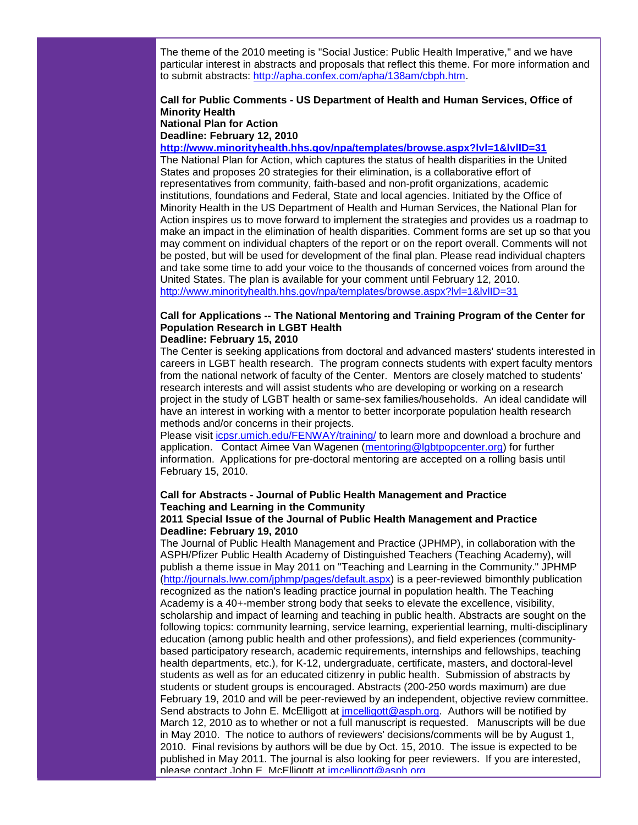The theme of the 2010 meeting is "Social Justice: Public Health Imperative," and we have particular interest in abstracts and proposals that reflect this theme. For more information and to submit abstracts: [http://apha.confex.com/apha/138am/cbph.htm.](http://rs6.net/tn.jsp?et=1102939693473&s=1&e=001B8WMXQG3H7Vf117_ZfUK_UOgiImKETTO43mv6HfVkybAQtL3MxsK9DWUTP8pi7VG_JjOJUODbNRo-e2B1UbcKLvmAn-57e8imxxUjaCdyOy7v6s2938eWHUXuQVOgdMSnaygSKVtHYA=)

## **Call for Public Comments - US Department of Health and Human Services, Office of Minority Health National Plan for Action Deadline: February 12, 2010**

#### **[http://www.minorityhealth.hhs.gov/npa/templates/browse.aspx?lvl=1&lvlID=31](http://rs6.net/tn.jsp?et=1102939693473&s=1&e=001B8WMXQG3H7UJebPTNnHxn6Ys_4rS7SkGsICpTd4MNZfHaHU7t4E0ATCfQIRS_gkq6inG5Js-wWPN279mGDBzF6Zrgi9tSXIu8DpTgtphbujRFXZd5WKcAjn20dMlYi6Xbg1HMjItwRpLQM33T5Pe8BQSPkeR9iRf4Q4o42-xiq4E6IiTNt7V2l1iq0oG3zCr)**

The National Plan for Action, which captures the status of health disparities in the United States and proposes 20 strategies for their elimination, is a collaborative effort of representatives from community, faith-based and non-profit organizations, academic institutions, foundations and Federal, State and local agencies. Initiated by the Office of Minority Health in the US Department of Health and Human Services, the National Plan for Action inspires us to move forward to implement the strategies and provides us a roadmap to make an impact in the elimination of health disparities. Comment forms are set up so that you may comment on individual chapters of the report or on the report overall. Comments will not be posted, but will be used for development of the final plan. Please read individual chapters and take some time to add your voice to the thousands of concerned voices from around the United States. The plan is available for your comment until February 12, 2010. [http://www.minorityhealth.hhs.gov/npa/templates/browse.aspx?lvl=1&lvlID=31](http://rs6.net/tn.jsp?et=1102939693473&s=1&e=001B8WMXQG3H7UJebPTNnHxn6Ys_4rS7SkGsICpTd4MNZfHaHU7t4E0ATCfQIRS_gkq6inG5Js-wWPN279mGDBzF6Zrgi9tSXIu8DpTgtphbujRFXZd5WKcAjn20dMlYi6Xbg1HMjItwRpLQM33T5Pe8BQSPkeR9iRf4Q4o42-xiq4E6IiTNt7V2l1iq0oG3zCr)

## **Call for Applications -- The National Mentoring and Training Program of the Center for Population Research in LGBT Health Deadline: February 15, 2010**

The Center is seeking applications from doctoral and advanced masters' students interested in careers in LGBT health research. The program connects students with expert faculty mentors from the national network of faculty of the Center. Mentors are closely matched to students' research interests and will assist students who are developing or working on a research project in the study of LGBT health or same-sex families/households. An ideal candidate will have an interest in working with a mentor to better incorporate population health research methods and/or concerns in their projects.

Please visit [icpsr.umich.edu/FENWAY/training/](http://rs6.net/tn.jsp?et=1102939693473&s=1&e=001B8WMXQG3H7VI6MUzAAk2r7n5NsikL-ZnQRSHRrZGbgRXTFZnQmlt2jNmLQGLquTVwguMsXEy3O0x5oym_vFGa2-K_3YkIsFNWdIKdrOiOhBVIcL69Fwp2Zy9wBJIxoUsHJhrt-m91vQ=) to learn more and download a brochure and application. Contact Aimee Van Wagenen [\(mentoring@lgbtpopcenter.org\)](mailto:mentoring@lgbtpopcenter.org) for further information. Applications for pre-doctoral mentoring are accepted on a rolling basis until February 15, 2010.

# **Call for Abstracts - Journal of Public Health Management and Practice Teaching and Learning in the Community**

## **2011 Special Issue of the Journal of Public Health Management and Practice Deadline: February 19, 2010**

The Journal of Public Health Management and Practice (JPHMP), in collaboration with the ASPH/Pfizer Public Health Academy of Distinguished Teachers (Teaching Academy), will publish a theme issue in May 2011 on "Teaching and Learning in the Community." JPHMP [\(http://journals.lww.com/jphmp/pages/default.aspx\)](http://rs6.net/tn.jsp?et=1102939693473&s=1&e=001B8WMXQG3H7VhrgO7o-R-9SGnasdRlNepXA8DByW3uep1gxreeZANtsVZO6xbv0EZoWMu6rF-46tf2OGAimo0Xc-7Bn602oK8R8d991lMh9UyBBoMLJihXWVJjE7ZoXNxfPuSjQ1NE76oqZCcJMqI4A==) is a peer-reviewed bimonthly publication recognized as the nation's leading practice journal in population health. The Teaching Academy is a 40+-member strong body that seeks to elevate the excellence, visibility, scholarship and impact of learning and teaching in public health. Abstracts are sought on the following topics: community learning, service learning, experiential learning, multi-disciplinary education (among public health and other professions), and field experiences (communitybased participatory research, academic requirements, internships and fellowships, teaching health departments, etc.), for K-12, undergraduate, certificate, masters, and doctoral-level students as well as for an educated citizenry in public health. Submission of abstracts by students or student groups is encouraged. Abstracts (200-250 words maximum) are due February 19, 2010 and will be peer-reviewed by an independent, objective review committee. Send abstracts to John E. McElligott at [jmcelligott@asph.org.](mailto:jmcelligott@asph.org) Authors will be notified by March 12, 2010 as to whether or not a full manuscript is requested. Manuscripts will be due in May 2010. The notice to authors of reviewers' decisions/comments will be by August 1, 2010. Final revisions by authors will be due by Oct. 15, 2010. The issue is expected to be published in May 2011. The journal is also looking for peer reviewers. If you are interested, please contact John F. McFiligott at imcelligott@asph.org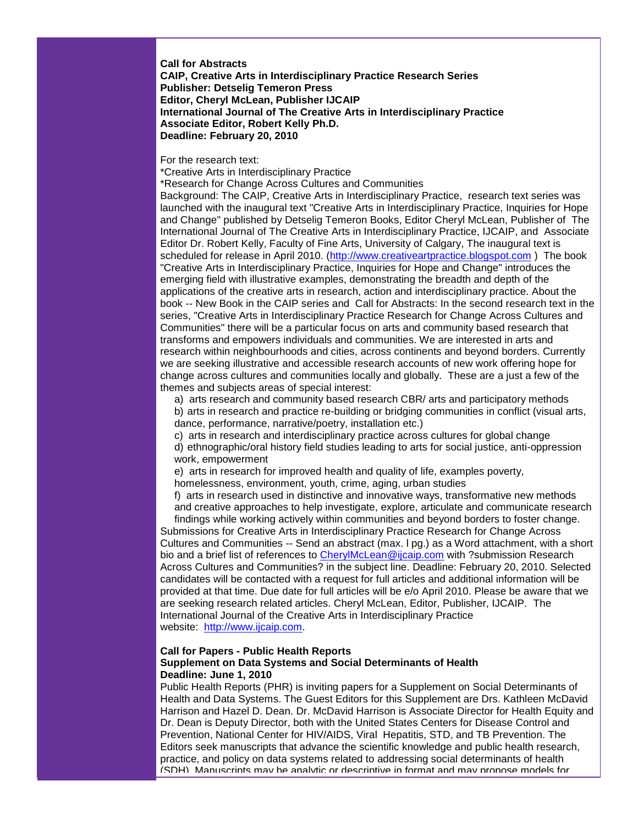**Call for Abstracts CAIP, Creative Arts in Interdisciplinary Practice Research Series Publisher: Detselig Temeron Press Editor, Cheryl McLean, Publisher IJCAIP International Journal of The Creative Arts in Interdisciplinary Practice Associate Editor, Robert Kelly Ph.D. Deadline: February 20, 2010**

## For the research text:

\*Creative Arts in Interdisciplinary Practice

\*Research for Change Across Cultures and Communities

Background: The CAIP, Creative Arts in Interdisciplinary Practice, research text series was launched with the inaugural text "Creative Arts in Interdisciplinary Practice, Inquiries for Hope and Change" published by Detselig Temeron Books, Editor Cheryl McLean, Publisher of The International Journal of The Creative Arts in Interdisciplinary Practice, IJCAIP, and Associate Editor Dr. Robert Kelly, Faculty of Fine Arts, University of Calgary, The inaugural text is scheduled for release in April 2010. [\(http://www.creativeartpractice.blogspot.com](http://rs6.net/tn.jsp?et=1102939693473&s=1&e=001B8WMXQG3H7WzyIQTaQO-JFa8fMyAvRcy_7lpLZiTJCKbCBWI_OPGTsWTATILUXXyM6VPOGcLcvs0SUR6ez__P2CHDx26-AkBhuVPwxWJ9SoqSPqhraktth2mCW44d2n9Ng1X5v_agy8=) ) The book "Creative Arts in Interdisciplinary Practice, Inquiries for Hope and Change" introduces the emerging field with illustrative examples, demonstrating the breadth and depth of the applications of the creative arts in research, action and interdisciplinary practice. About the book -- New Book in the CAIP series and Call for Abstracts: In the second research text in the series, "Creative Arts in Interdisciplinary Practice Research for Change Across Cultures and Communities" there will be a particular focus on arts and community based research that transforms and empowers individuals and communities. We are interested in arts and research within neighbourhoods and cities, across continents and beyond borders. Currently we are seeking illustrative and accessible research accounts of new work offering hope for change across cultures and communities locally and globally. These are a just a few of the themes and subjects areas of special interest:

a) arts research and community based research CBR/ arts and participatory methods b) arts in research and practice re-building or bridging communities in conflict (visual arts, dance, performance, narrative/poetry, installation etc.)

c) arts in research and interdisciplinary practice across cultures for global change

d) ethnographic/oral history field studies leading to arts for social justice, anti-oppression work, empowerment

e) arts in research for improved health and quality of life, examples poverty,

homelessness, environment, youth, crime, aging, urban studies

f) arts in research used in distinctive and innovative ways, transformative new methods and creative approaches to help investigate, explore, articulate and communicate research

findings while working actively within communities and beyond borders to foster change. Submissions for Creative Arts in Interdisciplinary Practice Research for Change Across Cultures and Communities -- Send an abstract (max. l pg.) as a Word attachment, with a short bio and a brief list of references to [CherylMcLean@ijcaip.com](mailto:CherylMcLean@ijcaip.com) with ?submission Research Across Cultures and Communities? in the subject line. Deadline: February 20, 2010. Selected candidates will be contacted with a request for full articles and additional information will be provided at that time. Due date for full articles will be e/o April 2010. Please be aware that we are seeking research related articles. Cheryl McLean, Editor, Publisher, IJCAIP. The International Journal of the Creative Arts in Interdisciplinary Practice website: [http://www.ijcaip.com.](http://rs6.net/tn.jsp?et=1102939693473&s=1&e=001B8WMXQG3H7X2KMG49KZLHI6vF_kbArZ5Lwk9mFSNIpTSZA3VHgdn9ms07BfQwZGaKdZvb8LwjSKFsz9BW4aNbDDox2rghu_pjn1IC6Kh_IU=)

## **Call for Papers - Public Health Reports Supplement on Data Systems and Social Determinants of Health Deadline: June 1, 2010**

Public Health Reports (PHR) is inviting papers for a Supplement on Social Determinants of Health and Data Systems. The Guest Editors for this Supplement are Drs. Kathleen McDavid Harrison and Hazel D. Dean. Dr. McDavid Harrison is Associate Director for Health Equity and Dr. Dean is Deputy Director, both with the United States Centers for Disease Control and Prevention, National Center for HIV/AIDS, Viral Hepatitis, STD, and TB Prevention. The Editors seek manuscripts that advance the scientific knowledge and public health research, practice, and policy on data systems related to addressing social determinants of health (SDH). Manuscripts may be analytic or descriptive in format and may propose models for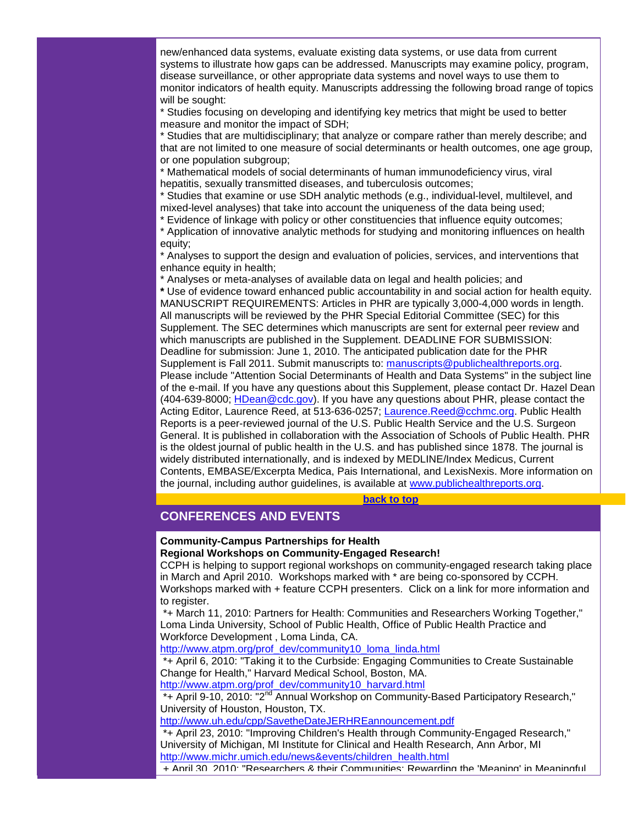new/enhanced data systems, evaluate existing data systems, or use data from current systems to illustrate how gaps can be addressed. Manuscripts may examine policy, program, disease surveillance, or other appropriate data systems and novel ways to use them to monitor indicators of health equity. Manuscripts addressing the following broad range of topics will be sought:

\* Studies focusing on developing and identifying key metrics that might be used to better measure and monitor the impact of SDH;

\* Studies that are multidisciplinary; that analyze or compare rather than merely describe; and that are not limited to one measure of social determinants or health outcomes, one age group, or one population subgroup;

\* Mathematical models of social determinants of human immunodeficiency virus, viral hepatitis, sexually transmitted diseases, and tuberculosis outcomes;

\* Studies that examine or use SDH analytic methods (e.g., individual-level, multilevel, and mixed-level analyses) that take into account the uniqueness of the data being used;

\* Evidence of linkage with policy or other constituencies that influence equity outcomes; \* Application of innovative analytic methods for studying and monitoring influences on health

equity;

\* Analyses to support the design and evaluation of policies, services, and interventions that enhance equity in health;

\* Analyses or meta-analyses of available data on legal and health policies; and **\*** Use of evidence toward enhanced public accountability in and social action for health equity. MANUSCRIPT REQUIREMENTS: Articles in PHR are typically 3,000-4,000 words in length. All manuscripts will be reviewed by the PHR Special Editorial Committee (SEC) for this Supplement. The SEC determines which manuscripts are sent for external peer review and which manuscripts are published in the Supplement. DEADLINE FOR SUBMISSION: Deadline for submission: June 1, 2010. The anticipated publication date for the PHR Supplement is Fall 2011. Submit manuscripts to: [manuscripts@publichealthreports.org.](mailto:manuscripts@publichealthreports.org) Please include "Attention Social Determinants of Health and Data Systems" in the subject line of the e-mail. If you have any questions about this Supplement, please contact Dr. Hazel Dean (404-639-8000; HDean @cdc.gov). If you have any questions about PHR, please contact the Acting Editor, Laurence Reed, at 513-636-0257; [Laurence.Reed@cchmc.org.](mailto:Laurence.Reed@cchmc.org) Public Health Reports is a peer-reviewed journal of the U.S. Public Health Service and the U.S. Surgeon General. It is published in collaboration with the Association of Schools of Public Health. PHR is the oldest journal of public health in the U.S. and has published since 1878. The journal is widely distributed internationally, and is indexed by MEDLINE/Index Medicus, Current Contents, EMBASE/Excerpta Medica, Pais International, and LexisNexis. More information on the journal, including author guidelines, is available at [www.publichealthreports.org.](http://rs6.net/tn.jsp?et=1102939693473&s=1&e=001B8WMXQG3H7VOYgRKsteaWoE5vYkUa7q-AMA1wWdmkvy2ccZeI7EPUp9CaHNEIFMngOzcBkWx7uIfwmwU_xMS8u6psMEOQgngUpbseskLZBiCijt79-Ne8Jbaj2SCE3pj)

#### **[back to top](#page-0-2)**

## <span id="page-20-0"></span>**CONFERENCES AND EVENTS**

#### **Community-Campus Partnerships for Health Regional Workshops on Community-Engaged Research!**

CCPH is helping to support regional workshops on community-engaged research taking place in March and April 2010. Workshops marked with \* are being co-sponsored by CCPH. Workshops marked with + feature CCPH presenters. Click on a link for more information and to register.

\*+ March 11, 2010: Partners for Health: Communities and Researchers Working Together," Loma Linda University, School of Public Health, Office of Public Health Practice and Workforce Development , Loma Linda, CA.

[http://www.atpm.org/prof\\_dev/community10\\_loma\\_linda.html](http://rs6.net/tn.jsp?et=1102939693473&s=1&e=001B8WMXQG3H7XNpHBvIi5KFEfm0gNrlBkWnUYINWCm8K_ZzODiQEWyMs03eYrHbVxl8VYMRK4pTBYWZQVQ_h7teREMFvQfp4MxhH91Usw7yUTvbdYiIQroDibgGNnkPXNdrWTIECwuWlWgdTpJxBP15iWBwHgK4Hvo)

\*+ April 6, 2010: "Taking it to the Curbside: Engaging Communities to Create Sustainable Change for Health," Harvard Medical School, Boston, MA.

[http://www.atpm.org/prof\\_dev/community10\\_harvard.html](http://rs6.net/tn.jsp?et=1102939693473&s=1&e=001B8WMXQG3H7W-AAeIwxDegsIdEnrGe4tGGolG-6kD-ArZonPjvYquStCmhFRRmfOuaSfTPWwPmhTYxaiuwxdixBSSIGLkXeht0gARhdVq1y-lP7vo7uFtn1lVcOw1G0Sx753n_LM2SHhpKHZLaLFkrg==)

\*+ April 9-10, 2010: "2<sup>nd</sup> Annual Workshop on Community-Based Participatory Research," University of Houston, Houston, TX.

[http://www.uh.edu/cpp/SavetheDateJERHREannouncement.pdf](http://rs6.net/tn.jsp?et=1102939693473&s=1&e=001B8WMXQG3H7UTByr923AWU7_ddGeO6WjMeN6bVBKYyEJmatmQhuCa_Dw2LIdZWOgD90rM9zcgiSvSJNOxETfSZPy5z-DZSzYhpwl2LfPhmPy17WukxBZ_xHKGBUZpf_z8jpdlNLgPmHcLsKRq0l7C6vLMFAkYuHAH)

\*+ April 23, 2010: "Improving Children's Health through Community-Engaged Research," University of Michigan, MI Institute for Clinical and Health Research, Ann Arbor, MI [http://www.michr.umich.edu/news&events/children\\_health.html](http://rs6.net/tn.jsp?et=1102939693473&s=1&e=001B8WMXQG3H7X_WnTXyVJCFqBjIzYjVWJwLFJV-3f47pCuOIsJRTcjizcTX_PiO8i1zJQtqa5lt8PVdgAhD403MGXC_jFhHVp1RwRLQsInQSI7_2dsiuNVNMvS0cyBuImYfyGa5gSNgI7aZP-fa711J4rNR2_etxZ0)

+ April 30, 2010: "Researchers & their Communities: Rewarding the 'Meaning' in Meaningful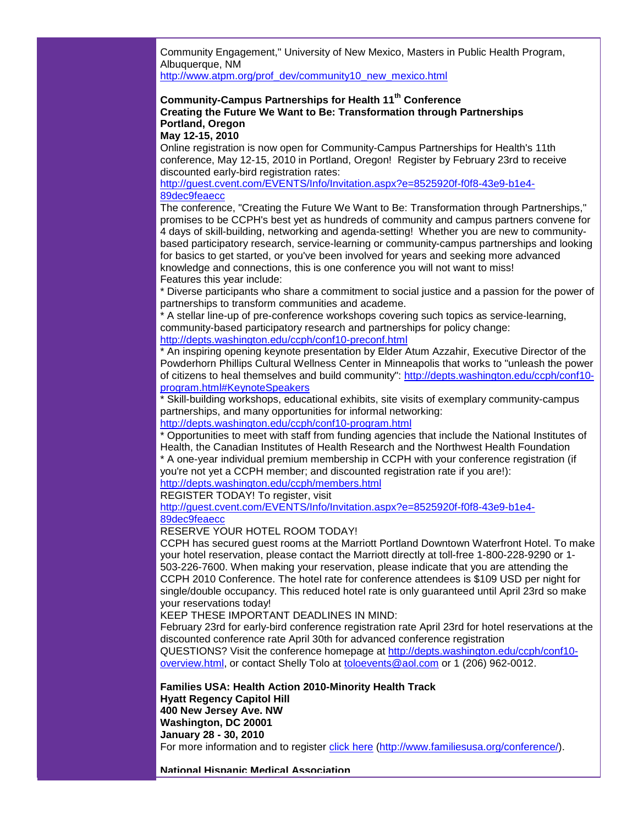Community Engagement," University of New Mexico, Masters in Public Health Program, Albuquerque, NM

[http://www.atpm.org/prof\\_dev/community10\\_new\\_mexico.html](http://rs6.net/tn.jsp?et=1102939693473&s=1&e=001B8WMXQG3H7XEGNAOER_lYdXVl7UqAV2ud8nrEFW7RiSxNwEOuhM4Ng5VAlltbWdoW0QwvUlB2hJk_9kcYyYTsulB932iAWqQKDMCJoFAb1cWXr5_7h1zBlY_KRqnBHjgI55M7trgHSTT63xF9uucmT3jedQAG0XN)

## **Community-Campus Partnerships for Health 11th Conference Creating the Future We Want to Be: Transformation through Partnerships Portland, Oregon**

**May 12-15, 2010**

Online registration is now open for Community-Campus Partnerships for Health's 11th conference, May 12-15, 2010 in Portland, Oregon! Register by February 23rd to receive discounted early-bird registration rates:

[http://guest.cvent.com/EVENTS/Info/Invitation.aspx?e=8525920f-f0f8-43e9-b1e4-](http://rs6.net/tn.jsp?et=1102939693473&s=1&e=001B8WMXQG3H7XhKZ3vLtAL5cpBNJ32hXfVO7jOue1YbPqxJOIqCIMd4MHbHdFGs1yiKaumN1Sby1Iy0BR39FmaipGwAwAvQuMxIoZ9qOhozpuNLEYl4IyK6iPizsWUp8k-mtxGxUN6Ls5JTuLKR4NjbQoW5eKNCDEKDfNvzgj2WbNbfWqCJaoRDfu_UAzKZ90b7Y7l33xoSLQmKBv4Z36s0g==) [89dec9feaecc](http://rs6.net/tn.jsp?et=1102939693473&s=1&e=001B8WMXQG3H7XhKZ3vLtAL5cpBNJ32hXfVO7jOue1YbPqxJOIqCIMd4MHbHdFGs1yiKaumN1Sby1Iy0BR39FmaipGwAwAvQuMxIoZ9qOhozpuNLEYl4IyK6iPizsWUp8k-mtxGxUN6Ls5JTuLKR4NjbQoW5eKNCDEKDfNvzgj2WbNbfWqCJaoRDfu_UAzKZ90b7Y7l33xoSLQmKBv4Z36s0g==)

The conference, "Creating the Future We Want to Be: Transformation through Partnerships," promises to be CCPH's best yet as hundreds of community and campus partners convene for 4 days of skill-building, networking and agenda-setting! Whether you are new to communitybased participatory research, service-learning or community-campus partnerships and looking for basics to get started, or you've been involved for years and seeking more advanced knowledge and connections, this is one conference you will not want to miss! Features this year include:

\* Diverse participants who share a commitment to social justice and a passion for the power of partnerships to transform communities and academe.

\* A stellar line-up of pre-conference workshops covering such topics as service-learning, community-based participatory research and partnerships for policy change: [http://depts.washington.edu/ccph/conf10-preconf.html](http://rs6.net/tn.jsp?et=1102939693473&s=1&e=001B8WMXQG3H7UTfHMDgHZ98eeDYhlZ22eBScdXgBZKz9iyCxhmPEHycKg929Wq3uoxknIK9nPWnAYt_XKzM6BRg7BkBOd5TiChpVRvSVVqpbld6amPWHaJ2bAgfJuxWDRwQrpJIG4gb0_yz2LYeOmMeA==)

\* An inspiring opening keynote presentation by Elder Atum Azzahir, Executive Director of the Powderhorn Phillips Cultural Wellness Center in Minneapolis that works to "unleash the power of citizens to heal themselves and build community": [http://depts.washington.edu/ccph/conf10](http://rs6.net/tn.jsp?et=1102939693473&s=1&e=001B8WMXQG3H7UMWK8sD2Z4caJqvcurpVSi5dp48zKm7YUGsGubibpu0DXhIo-vqwHOnEaF73R32VHIt3qaxRuBXx5RQEGvuBu0y4EaBh6E8BZG4felkrDYrzSO80Bt8xJGub9pATQdUaoMM71jOe_J9UQej5nUiCVMBYvzULo2V9c=) [program.html#KeynoteSpeakers](http://rs6.net/tn.jsp?et=1102939693473&s=1&e=001B8WMXQG3H7UMWK8sD2Z4caJqvcurpVSi5dp48zKm7YUGsGubibpu0DXhIo-vqwHOnEaF73R32VHIt3qaxRuBXx5RQEGvuBu0y4EaBh6E8BZG4felkrDYrzSO80Bt8xJGub9pATQdUaoMM71jOe_J9UQej5nUiCVMBYvzULo2V9c=)

\* Skill-building workshops, educational exhibits, site visits of exemplary community-campus partnerships, and many opportunities for informal networking:

[http://depts.washington.edu/ccph/conf10-program.html](http://rs6.net/tn.jsp?et=1102939693473&s=1&e=001B8WMXQG3H7X0JBadYv-DRRNlpMXwNvn1l2MTp5fnaKg8ANWHGdA8zcTyfj6t77SHwg9-xTvZjLnLIaqSm-lGLXNOS6rXqZzBXOS7jjfMlbT1aJZMswchDGwxCUNEQ5psqVdP7vWx1NJ9YInyr2zYwQ==)

\* Opportunities to meet with staff from funding agencies that include the National Institutes of Health, the Canadian Institutes of Health Research and the Northwest Health Foundation

\* A one-year individual premium membership in CCPH with your conference registration (if you're not yet a CCPH member; and discounted registration rate if you are!):

[http://depts.washington.edu/ccph/members.html](http://rs6.net/tn.jsp?et=1102939693473&s=1&e=001B8WMXQG3H7Wxkwa5wH4tNVTCnMLoGE_GZNsdFI3q_8RW4lPHN8nWMDJcZCXLwXOcg-cDrw0AvGErcaNp5iXzSAkbyR3SmkUBHRwH6lsIrKk9aYngY6xLCGo1hUO6m63D4Gdbh-DO0iU=)

REGISTER TODAY! To register, visit

[http://guest.cvent.com/EVENTS/Info/Invitation.aspx?e=8525920f-f0f8-43e9-b1e4-](http://rs6.net/tn.jsp?et=1102939693473&s=1&e=001B8WMXQG3H7XhKZ3vLtAL5cpBNJ32hXfVO7jOue1YbPqxJOIqCIMd4MHbHdFGs1yiKaumN1Sby1Iy0BR39FmaipGwAwAvQuMxIoZ9qOhozpuNLEYl4IyK6iPizsWUp8k-mtxGxUN6Ls5JTuLKR4NjbQoW5eKNCDEKDfNvzgj2WbNbfWqCJaoRDfu_UAzKZ90b7Y7l33xoSLQmKBv4Z36s0g==) [89dec9feaecc](http://rs6.net/tn.jsp?et=1102939693473&s=1&e=001B8WMXQG3H7XhKZ3vLtAL5cpBNJ32hXfVO7jOue1YbPqxJOIqCIMd4MHbHdFGs1yiKaumN1Sby1Iy0BR39FmaipGwAwAvQuMxIoZ9qOhozpuNLEYl4IyK6iPizsWUp8k-mtxGxUN6Ls5JTuLKR4NjbQoW5eKNCDEKDfNvzgj2WbNbfWqCJaoRDfu_UAzKZ90b7Y7l33xoSLQmKBv4Z36s0g==)

RESERVE YOUR HOTEL ROOM TODAY!

CCPH has secured guest rooms at the Marriott Portland Downtown Waterfront Hotel. To make your hotel reservation, please contact the Marriott directly at toll-free 1-800-228-9290 or 1- 503-226-7600. When making your reservation, please indicate that you are attending the CCPH 2010 Conference. The hotel rate for conference attendees is \$109 USD per night for single/double occupancy. This reduced hotel rate is only guaranteed until April 23rd so make your reservations today!

KEEP THESE IMPORTANT DEADLINES IN MIND:

February 23rd for early-bird conference registration rate April 23rd for hotel reservations at the discounted conference rate April 30th for advanced conference registration QUESTIONS? Visit the conference homepage at [http://depts.washington.edu/ccph/conf10](http://rs6.net/tn.jsp?et=1102939693473&s=1&e=001B8WMXQG3H7VG9JctEgQ8t9zSZieWlsGGzvzl67Bts8EYiFXYBnFME0b5OOAki2ghkR7uX6KQgg2oWah1d0ZAKpBrFwcXZV9PK0FOkz1UOu8cK8aEGAXSBLnLBPo_vOxyKaWup1eRnrtXXufk31LUyw==) [overview.html,](http://rs6.net/tn.jsp?et=1102939693473&s=1&e=001B8WMXQG3H7VG9JctEgQ8t9zSZieWlsGGzvzl67Bts8EYiFXYBnFME0b5OOAki2ghkR7uX6KQgg2oWah1d0ZAKpBrFwcXZV9PK0FOkz1UOu8cK8aEGAXSBLnLBPo_vOxyKaWup1eRnrtXXufk31LUyw==) or contact Shelly Tolo at [toloevents@aol.com](mailto:toloevents@aol.com) or 1 (206) 962-0012.

**Families USA: Health Action 2010-Minority Health Track Hyatt Regency Capitol Hill 400 New Jersey Ave. NW Washington, DC 20001 January 28 - 30, 2010** For more information and to register [click here](http://rs6.net/tn.jsp?et=1102939693473&s=1&e=001B8WMXQG3H7WsQoD3-QF5TssYKF3sJQ8N_YZVoNE3Bs9Qsu5coKYRDzyY2Cq7vaHZLCjGeaLndSMSH2b3JGqGp1ATMbI_jNrU3zuhPn6yzxTJvLRxsUMWQxhJLGq1iLnG) [\(http://www.familiesusa.org/conference/\)](http://rs6.net/tn.jsp?et=1102939693473&s=1&e=001B8WMXQG3H7WsQoD3-QF5TssYKF3sJQ8N_YZVoNE3Bs9Qsu5coKYRDzyY2Cq7vaHZLCjGeaLndSMSH2b3JGqGp1ATMbI_jNrU3zuhPn6yzxTJvLRxsUMWQxhJLGq1iLnG).

**National Hispanic Medical Association**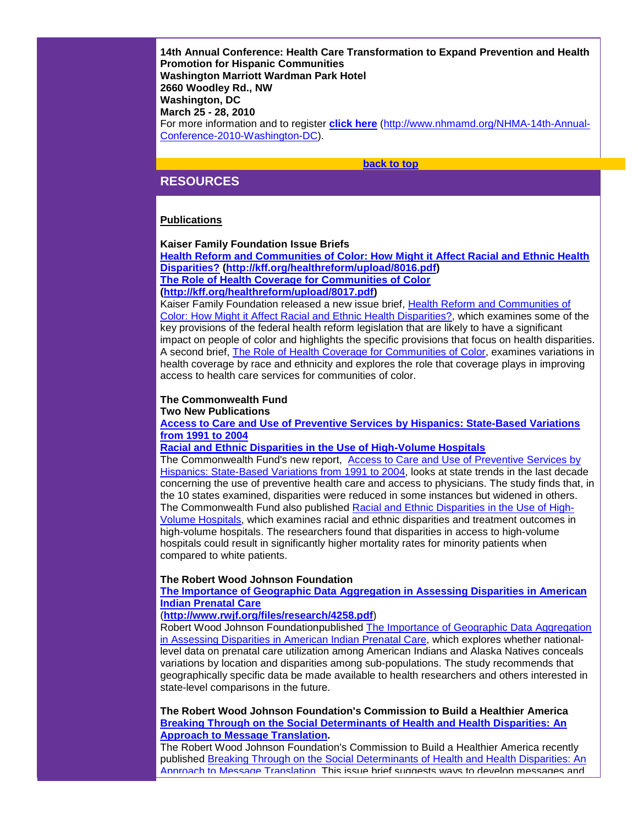**14th Annual Conference: Health Care Transformation to Expand Prevention and Health Promotion for Hispanic Communities Washington Marriott Wardman Park Hotel 2660 Woodley Rd., NW Washington, DC March 25 - 28, 2010** For more information and to register **[click here](http://rs6.net/tn.jsp?et=1102939693473&s=1&e=001B8WMXQG3H7VRgBwyUeJXkwuYuugjyzYvQ0sBt9g3XZc4Yatehxgf5ecIj-4LALPFScgMGcgyY4EUr74oYFa8M08Q-MFwzbdc06NfXZ4Rr-E_TQte0yQgzDozue0uQ1q3QiADfVFyomAue79hr89FQNVeqtzBLo5h7WmRZnKeeLI=)** [\(http://www.nhmamd.org/NHMA-14th-Annual-](http://rs6.net/tn.jsp?et=1102939693473&s=1&e=001B8WMXQG3H7VRgBwyUeJXkwuYuugjyzYvQ0sBt9g3XZc4Yatehxgf5ecIj-4LALPFScgMGcgyY4EUr74oYFa8M08Q-MFwzbdc06NfXZ4Rr-E_TQte0yQgzDozue0uQ1q3QiADfVFyomAue79hr89FQNVeqtzBLo5h7WmRZnKeeLI=)[Conference-2010-Washington-DC\)](http://rs6.net/tn.jsp?et=1102939693473&s=1&e=001B8WMXQG3H7VRgBwyUeJXkwuYuugjyzYvQ0sBt9g3XZc4Yatehxgf5ecIj-4LALPFScgMGcgyY4EUr74oYFa8M08Q-MFwzbdc06NfXZ4Rr-E_TQte0yQgzDozue0uQ1q3QiADfVFyomAue79hr89FQNVeqtzBLo5h7WmRZnKeeLI=).

#### **[back to top](#page-0-2)**

## <span id="page-22-0"></span>**RESOURCES**

## **Publications**

## **Kaiser Family Foundation Issue Briefs**

**[Health Reform and Communities of Color: How Might it Affect Racial and Ethnic Health](http://rs6.net/tn.jsp?et=1102939693473&s=1&e=001B8WMXQG3H7XSEqmo-fnjecSYxHBjEvHJpfRQSp-j9J7boMOrjOhGry6X5fy__h9s_j9gELDiqzsBGuhOg6kv7Ii6aAkbxWoGsv2P_7UkUzX5CXBlN67lXQy7Kk-cphgFQKOilYOdV0k=)  [Disparities?](http://rs6.net/tn.jsp?et=1102939693473&s=1&e=001B8WMXQG3H7XSEqmo-fnjecSYxHBjEvHJpfRQSp-j9J7boMOrjOhGry6X5fy__h9s_j9gELDiqzsBGuhOg6kv7Ii6aAkbxWoGsv2P_7UkUzX5CXBlN67lXQy7Kk-cphgFQKOilYOdV0k=) [\(http://kff.org/healthreform/upload/8016.pdf\)](http://rs6.net/tn.jsp?et=1102939693473&s=1&e=001B8WMXQG3H7XSEqmo-fnjecSYxHBjEvHJpfRQSp-j9J7boMOrjOhGry6X5fy__h9s_j9gELDiqzsBGuhOg6kv7Ii6aAkbxWoGsv2P_7UkUzX5CXBlN67lXQy7Kk-cphgFQKOilYOdV0k=) [The Role of Health Coverage for Communities of Color](http://rs6.net/tn.jsp?et=1102939693473&s=1&e=001B8WMXQG3H7XU1aOa0Eg_6FEo_iU9SLuiDP866ITB37cjHLgAg20gWvopGpQVzTyrBIYqYhEkTySKME-KyDAIYIQuZeaBnSVai6vUh-dM_PKX3ul2roZCBl-E3VN1Q9Bnb7duBuyLamA=)**

**[\(http://kff.org/healthreform/upload/8017.pdf\)](http://rs6.net/tn.jsp?et=1102939693473&s=1&e=001B8WMXQG3H7XU1aOa0Eg_6FEo_iU9SLuiDP866ITB37cjHLgAg20gWvopGpQVzTyrBIYqYhEkTySKME-KyDAIYIQuZeaBnSVai6vUh-dM_PKX3ul2roZCBl-E3VN1Q9Bnb7duBuyLamA=)** 

Kaiser Family Foundation released a new issue brief, [Health Reform and Communities of](http://rs6.net/tn.jsp?et=1102939693473&s=1&e=001B8WMXQG3H7XSEqmo-fnjecSYxHBjEvHJpfRQSp-j9J7boMOrjOhGry6X5fy__h9s_j9gELDiqzsBGuhOg6kv7Ii6aAkbxWoGsv2P_7UkUzX5CXBlN67lXQy7Kk-cphgFQKOilYOdV0k=)  [Color: How Might it Affect Racial and Ethnic Health Disparities?,](http://rs6.net/tn.jsp?et=1102939693473&s=1&e=001B8WMXQG3H7XSEqmo-fnjecSYxHBjEvHJpfRQSp-j9J7boMOrjOhGry6X5fy__h9s_j9gELDiqzsBGuhOg6kv7Ii6aAkbxWoGsv2P_7UkUzX5CXBlN67lXQy7Kk-cphgFQKOilYOdV0k=) which examines some of the key provisions of the federal health reform legislation that are likely to have a significant impact on people of color and highlights the specific provisions that focus on health disparities. A second brief, [The Role of Health Coverage for Communities of Color,](http://rs6.net/tn.jsp?et=1102939693473&s=1&e=001B8WMXQG3H7XU1aOa0Eg_6FEo_iU9SLuiDP866ITB37cjHLgAg20gWvopGpQVzTyrBIYqYhEkTySKME-KyDAIYIQuZeaBnSVai6vUh-dM_PKX3ul2roZCBl-E3VN1Q9Bnb7duBuyLamA=) examines variations in health coverage by race and ethnicity and explores the role that coverage plays in improving access to health care services for communities of color.

#### **The Commonwealth Fund Two New Publications**

**[Access to Care and Use of Preventive Services by Hispanics: State-Based Variations](http://rs6.net/tn.jsp?et=1102939693473&s=1&e=001B8WMXQG3H7XBLdZSq_3PVHh3IaQefRAQIQ6mDfzshgTFY2JhLBUPG983lZ-tUVAWOKdmUpKFhEZmnQiluiMz4M-b0E_u-HrC_L2v8CH2ux7S1i0IJ1wlQonoYoBLMTV07pvKu6HIpoSs-PlTIKf3NAW_Yj2TJLP0EfpdPxJ5-SfnxtLkW0Y9rBlabiTEeK2zxyuyjk3vretem6uszUl0pnz8A84iXGbvvwRLnoiiEcQfljeqd8eer0CVVJutGB8Py5GhEpvGhw9unZp5BSooHNabVrWnu84ktsT4HIO1Ku3ebXSM_rLi2veoYbdXatescmHigLGe1WCWNYIvLaAD4Q==)  [from 1991 to 2004](http://rs6.net/tn.jsp?et=1102939693473&s=1&e=001B8WMXQG3H7XBLdZSq_3PVHh3IaQefRAQIQ6mDfzshgTFY2JhLBUPG983lZ-tUVAWOKdmUpKFhEZmnQiluiMz4M-b0E_u-HrC_L2v8CH2ux7S1i0IJ1wlQonoYoBLMTV07pvKu6HIpoSs-PlTIKf3NAW_Yj2TJLP0EfpdPxJ5-SfnxtLkW0Y9rBlabiTEeK2zxyuyjk3vretem6uszUl0pnz8A84iXGbvvwRLnoiiEcQfljeqd8eer0CVVJutGB8Py5GhEpvGhw9unZp5BSooHNabVrWnu84ktsT4HIO1Ku3ebXSM_rLi2veoYbdXatescmHigLGe1WCWNYIvLaAD4Q==)**

**[Racial and Ethnic Disparities in the Use of High-Volume Hospitals](http://rs6.net/tn.jsp?et=1102939693473&s=1&e=001B8WMXQG3H7VZ8wmjLRFVBS8p4KN3FaQmqw3EWgQgyKZynat8YN-fKOM1AIJKYoY9vmMogniv3mPSZKJ5ubIA4ODQl5JbFpPqvQfDjSXQ2ZRrsWkiw4grn9ohrnEZk2ouTonloeEZcZQz4EA02VIDrsbzPlfz7lcumAvoDDUx-31uHrgUWvMDsMxRaOZ1iOHI1CZ4-lZT7KlGXQCDqE770EcJm8VYIG6kzW1K9adCtpXKFa71VG0Td1FjNAC7DXkQ_fZD-TP7pwUrRGcV9NzuqdLdnjzzX0Oy)**

The Commonwealth Fund's new report, [Access to Care and Use of Preventive Services by](http://rs6.net/tn.jsp?et=1102939693473&s=1&e=001B8WMXQG3H7XBLdZSq_3PVHh3IaQefRAQIQ6mDfzshgTFY2JhLBUPG983lZ-tUVAWOKdmUpKFhEZmnQiluiMz4M-b0E_u-HrC_L2v8CH2ux7S1i0IJ1wlQonoYoBLMTV07pvKu6HIpoSs-PlTIKf3NAW_Yj2TJLP0EfpdPxJ5-SfnxtLkW0Y9rBlabiTEeK2zxyuyjk3vretem6uszUl0pnz8A84iXGbvvwRLnoiiEcQfljeqd8eer0CVVJutGB8Py5GhEpvGhw9unZp5BSooHNabVrWnu84ktsT4HIO1Ku3ebXSM_rLi2veoYbdXatescmHigLGe1WCWNYIvLaAD4Q==)  [Hispanics: State-Based Variations from 1991 to 2004,](http://rs6.net/tn.jsp?et=1102939693473&s=1&e=001B8WMXQG3H7XBLdZSq_3PVHh3IaQefRAQIQ6mDfzshgTFY2JhLBUPG983lZ-tUVAWOKdmUpKFhEZmnQiluiMz4M-b0E_u-HrC_L2v8CH2ux7S1i0IJ1wlQonoYoBLMTV07pvKu6HIpoSs-PlTIKf3NAW_Yj2TJLP0EfpdPxJ5-SfnxtLkW0Y9rBlabiTEeK2zxyuyjk3vretem6uszUl0pnz8A84iXGbvvwRLnoiiEcQfljeqd8eer0CVVJutGB8Py5GhEpvGhw9unZp5BSooHNabVrWnu84ktsT4HIO1Ku3ebXSM_rLi2veoYbdXatescmHigLGe1WCWNYIvLaAD4Q==) looks at state trends in the last decade concerning the use of preventive health care and access to physicians. The study finds that, in the 10 states examined, disparities were reduced in some instances but widened in others. The Commonwealth Fund also published [Racial and Ethnic Disparities in the Use of High-](http://rs6.net/tn.jsp?et=1102939693473&s=1&e=001B8WMXQG3H7VZ8wmjLRFVBS8p4KN3FaQmqw3EWgQgyKZynat8YN-fKOM1AIJKYoY9vmMogniv3mPSZKJ5ubIA4ODQl5JbFpPqvQfDjSXQ2ZRrsWkiw4grn9ohrnEZk2ouTonloeEZcZQz4EA02VIDrsbzPlfz7lcumAvoDDUx-31uHrgUWvMDsMxRaOZ1iOHI1CZ4-lZT7KlGXQCDqE770EcJm8VYIG6kzW1K9adCtpXKFa71VG0Td1FjNAC7DXkQ_fZD-TP7pwUrRGcV9NzuqdLdnjzzX0Oy)[Volume Hospitals,](http://rs6.net/tn.jsp?et=1102939693473&s=1&e=001B8WMXQG3H7VZ8wmjLRFVBS8p4KN3FaQmqw3EWgQgyKZynat8YN-fKOM1AIJKYoY9vmMogniv3mPSZKJ5ubIA4ODQl5JbFpPqvQfDjSXQ2ZRrsWkiw4grn9ohrnEZk2ouTonloeEZcZQz4EA02VIDrsbzPlfz7lcumAvoDDUx-31uHrgUWvMDsMxRaOZ1iOHI1CZ4-lZT7KlGXQCDqE770EcJm8VYIG6kzW1K9adCtpXKFa71VG0Td1FjNAC7DXkQ_fZD-TP7pwUrRGcV9NzuqdLdnjzzX0Oy) which examines racial and ethnic disparities and treatment outcomes in high-volume hospitals. The researchers found that disparities in access to high-volume hospitals could result in significantly higher mortality rates for minority patients when compared to white patients.

## **The Robert Wood Johnson Foundation**

**[The Importance of Geographic Data Aggregation in Assessing Disparities in American](http://rs6.net/tn.jsp?et=1102939693473&s=1&e=001B8WMXQG3H7WjedCVlC7_hrhXa1XTr2qfrZcBXptrSItPG3luf7XGOASDCEaulXBJW4TlUsTfctQIUaskaX3FRIc7FNXfQwiKHa_QP9v52SMeywDn1Iu0r2jXJRHpKmKDOvCLFyizly8=)  [Indian Prenatal Care](http://rs6.net/tn.jsp?et=1102939693473&s=1&e=001B8WMXQG3H7WjedCVlC7_hrhXa1XTr2qfrZcBXptrSItPG3luf7XGOASDCEaulXBJW4TlUsTfctQIUaskaX3FRIc7FNXfQwiKHa_QP9v52SMeywDn1Iu0r2jXJRHpKmKDOvCLFyizly8=)**

## (**[http://www.rwjf.org/files/research/4258.pdf](http://rs6.net/tn.jsp?et=1102939693473&s=1&e=001B8WMXQG3H7WjedCVlC7_hrhXa1XTr2qfrZcBXptrSItPG3luf7XGOASDCEaulXBJW4TlUsTfctQIUaskaX3FRIc7FNXfQwiKHa_QP9v52SMeywDn1Iu0r2jXJRHpKmKDOvCLFyizly8=)**)

Robert Wood Johnson Foundationpublished [The Importance of Geographic Data Aggregation](http://rs6.net/tn.jsp?et=1102939693473&s=1&e=001B8WMXQG3H7WjedCVlC7_hrhXa1XTr2qfrZcBXptrSItPG3luf7XGOASDCEaulXBJW4TlUsTfctQIUaskaX3FRIc7FNXfQwiKHa_QP9v52SMeywDn1Iu0r2jXJRHpKmKDOvCLFyizly8=)  [in Assessing Disparities in American Indian Prenatal Care,](http://rs6.net/tn.jsp?et=1102939693473&s=1&e=001B8WMXQG3H7WjedCVlC7_hrhXa1XTr2qfrZcBXptrSItPG3luf7XGOASDCEaulXBJW4TlUsTfctQIUaskaX3FRIc7FNXfQwiKHa_QP9v52SMeywDn1Iu0r2jXJRHpKmKDOvCLFyizly8=) which explores whether nationallevel data on prenatal care utilization among American Indians and Alaska Natives conceals variations by location and disparities among sub-populations. The study recommends that geographically specific data be made available to health researchers and others interested in state-level comparisons in the future.

**The Robert Wood Johnson Foundation's Commission to Build a Healthier America [Breaking Through on the Social Determinants of Health and Health Disparities: An](http://rs6.net/tn.jsp?et=1102939693473&s=1&e=001B8WMXQG3H7VNEi0Cde4jcWtS766b5CsuqqEnIDbKm2A_ZoI4mQqQ_NKdi3PQEQGVLwLNPloTOCEExNbIAORVHXd_o8p5fW_X4BHbjVQc3wvZpBh-FpJAkVyhrPJ6aXQztPrt3RsQHM4ElRTjLHoIr1kPKv7_CvyqgM0uefscqmuipL9E5kPnbN_S5RggUE58J0jSJf_FtvZUcti05V10Wxxng9F_ZYJsj0DgLHMSUwH4jgf8XV8GizLvw3sXSU6IabvgPuoAcTferFUh5S6udMX7sgHWZjBW)  [Approach to Message Translation.](http://rs6.net/tn.jsp?et=1102939693473&s=1&e=001B8WMXQG3H7VNEi0Cde4jcWtS766b5CsuqqEnIDbKm2A_ZoI4mQqQ_NKdi3PQEQGVLwLNPloTOCEExNbIAORVHXd_o8p5fW_X4BHbjVQc3wvZpBh-FpJAkVyhrPJ6aXQztPrt3RsQHM4ElRTjLHoIr1kPKv7_CvyqgM0uefscqmuipL9E5kPnbN_S5RggUE58J0jSJf_FtvZUcti05V10Wxxng9F_ZYJsj0DgLHMSUwH4jgf8XV8GizLvw3sXSU6IabvgPuoAcTferFUh5S6udMX7sgHWZjBW)**

The Robert Wood Johnson Foundation's Commission to Build a Healthier America recently published [Breaking Through on the Social Determinants of Health and Health Disparities: An](http://rs6.net/tn.jsp?et=1102939693473&s=1&e=001B8WMXQG3H7VNEi0Cde4jcWtS766b5CsuqqEnIDbKm2A_ZoI4mQqQ_NKdi3PQEQGVLwLNPloTOCEExNbIAORVHXd_o8p5fW_X4BHbjVQc3wvZpBh-FpJAkVyhrPJ6aXQztPrt3RsQHM4ElRTjLHoIr1kPKv7_CvyqgM0uefscqmuipL9E5kPnbN_S5RggUE58J0jSJf_FtvZUcti05V10Wxxng9F_ZYJsj0DgLHMSUwH4jgf8XV8GizLvw3sXSU6IabvgPuoAcTferFUh5S6udMX7sgHWZjBW)  [Approach to Message Translation.](http://rs6.net/tn.jsp?et=1102939693473&s=1&e=001B8WMXQG3H7VNEi0Cde4jcWtS766b5CsuqqEnIDbKm2A_ZoI4mQqQ_NKdi3PQEQGVLwLNPloTOCEExNbIAORVHXd_o8p5fW_X4BHbjVQc3wvZpBh-FpJAkVyhrPJ6aXQztPrt3RsQHM4ElRTjLHoIr1kPKv7_CvyqgM0uefscqmuipL9E5kPnbN_S5RggUE58J0jSJf_FtvZUcti05V10Wxxng9F_ZYJsj0DgLHMSUwH4jgf8XV8GizLvw3sXSU6IabvgPuoAcTferFUh5S6udMX7sgHWZjBW) This issue brief suggests ways to develop messages and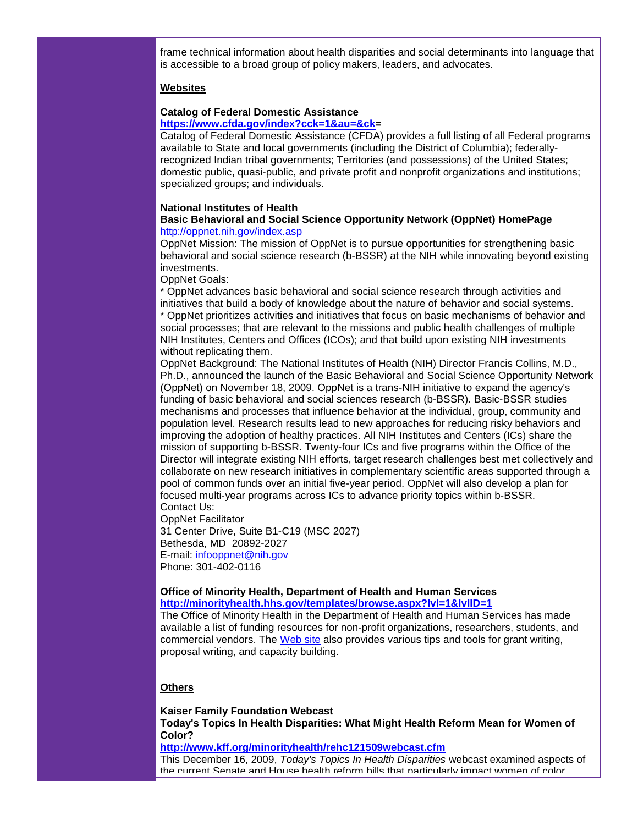frame technical information about health disparities and social determinants into language that is accessible to a broad group of policy makers, leaders, and advocates.

## **Websites**

# **Catalog of Federal Domestic Assistance**

## **[https://www.cfda.gov/index?cck=1&au=&ck=](http://rs6.net/tn.jsp?et=1102939693473&s=1&e=001B8WMXQG3H7U0ZL7YEOcmp6l08kqHlGv4Q2fskvSlM_wISiaq7av36ogDtiZguHUktsFoHxQbV25-FPMq76nsvGYYb2oeV_bVUQrcOGJRo3RYFsEqHb-JkEHKDOZZExZl4CuVypCcHPfCVZPNjj2CUw==)**

Catalog of Federal Domestic Assistance (CFDA) provides a full listing of all Federal programs available to State and local governments (including the District of Columbia); federallyrecognized Indian tribal governments; Territories (and possessions) of the United States; domestic public, quasi-public, and private profit and nonprofit organizations and institutions; specialized groups; and individuals.

## **National Institutes of Health**

## **Basic Behavioral and Social Science Opportunity Network (OppNet) HomePage** [http://oppnet.nih.gov/index.asp](http://rs6.net/tn.jsp?et=1102939693473&s=1&e=001B8WMXQG3H7VV0kZlDKJCRzxpbCoCCXbqMCRHst1BQLRxb8ieDfsA44BaZmlaNiWs92siPWZh_Gt5ygPNbPUZp9fpU5N_pKBGRfbEuL-A-2G6wjsbix7dTA==)

OppNet Mission: The mission of OppNet is to pursue opportunities for strengthening basic behavioral and social science research (b-BSSR) at the NIH while innovating beyond existing investments.

OppNet Goals:

\* OppNet advances basic behavioral and social science research through activities and initiatives that build a body of knowledge about the nature of behavior and social systems.

\* OppNet prioritizes activities and initiatives that focus on basic mechanisms of behavior and social processes; that are relevant to the missions and public health challenges of multiple NIH Institutes, Centers and Offices (ICOs); and that build upon existing NIH investments without replicating them.

OppNet Background: The National Institutes of Health (NIH) Director Francis Collins, M.D., Ph.D., announced the launch of the Basic Behavioral and Social Science Opportunity Network (OppNet) on November 18, 2009. OppNet is a trans-NIH initiative to expand the agency's funding of basic behavioral and social sciences research (b-BSSR). Basic-BSSR studies mechanisms and processes that influence behavior at the individual, group, community and population level. Research results lead to new approaches for reducing risky behaviors and improving the adoption of healthy practices. All NIH Institutes and Centers (ICs) share the mission of supporting b-BSSR. Twenty-four ICs and five programs within the Office of the Director will integrate existing NIH efforts, target research challenges best met collectively and collaborate on new research initiatives in complementary scientific areas supported through a pool of common funds over an initial five-year period. OppNet will also develop a plan for focused multi-year programs across ICs to advance priority topics within b-BSSR. Contact Us:

OppNet Facilitator

31 Center Drive, Suite B1-C19 (MSC 2027) Bethesda, MD 20892-2027 E-mail: [infooppnet@nih.gov](mailto:infooppnet@nih.gov) Phone: 301-402-0116

#### **Office of Minority Health, Department of Health and Human Services [http://minorityhealth.hhs.gov/templates/browse.aspx?lvl=1&lvlID=1](http://rs6.net/tn.jsp?et=1102939693473&s=1&e=001B8WMXQG3H7Ubm2nDtbLhfvcVJ8ByprHHbBhZ4cLstXN0IURcMy7glcPLucEDEsHzf1xvP6va39weSD8R7MpXCX8RDZ7Rw6C31zuqCFA2m8aJ9yTGega9msqPuEuBedICEpTbY2AhpP9La0nEJAKc0viIaSLGrmyuh1w0ydAqXsQ340nLykVZVA==)**

The Office of Minority Health in the Department of Health and Human Services has made available a list of funding resources for non-profit organizations, researchers, students, and commercial vendors. The [Web site](http://rs6.net/tn.jsp?et=1102939693473&s=1&e=001B8WMXQG3H7Ubm2nDtbLhfvcVJ8ByprHHbBhZ4cLstXN0IURcMy7glcPLucEDEsHzf1xvP6va39weSD8R7MpXCX8RDZ7Rw6C31zuqCFA2m8aJ9yTGega9msqPuEuBedICEpTbY2AhpP9La0nEJAKc0viIaSLGrmyuh1w0ydAqXsQ340nLykVZVA==) also provides various tips and tools for grant writing, proposal writing, and capacity building.

## **Others**

**Kaiser Family Foundation Webcast Today's Topics In Health Disparities: What Might Health Reform Mean for Women of Color?**

**[http://www.kff.org/minorityhealth/rehc121509webcast.cfm](http://rs6.net/tn.jsp?et=1102939693473&s=1&e=001B8WMXQG3H7V3vXMB4I1eX1OkvNgKHmTR7NB-v8jAP_fntKZ5iFnFFJfh1k5ocFlhTtyoZMH069WZ5agp4f6Nq3shcNv1YhSmHFnmQFs9rm-spmlFf3_2zWGkkCMZgOm8K-3ItyQW3TGn_WAI_Ta74P1sqtd6nUDO)**

This December 16, 2009, *Today's Topics In Health Disparities* webcast examined aspects of the current Senate and House health reform bills that particularly impact women of color.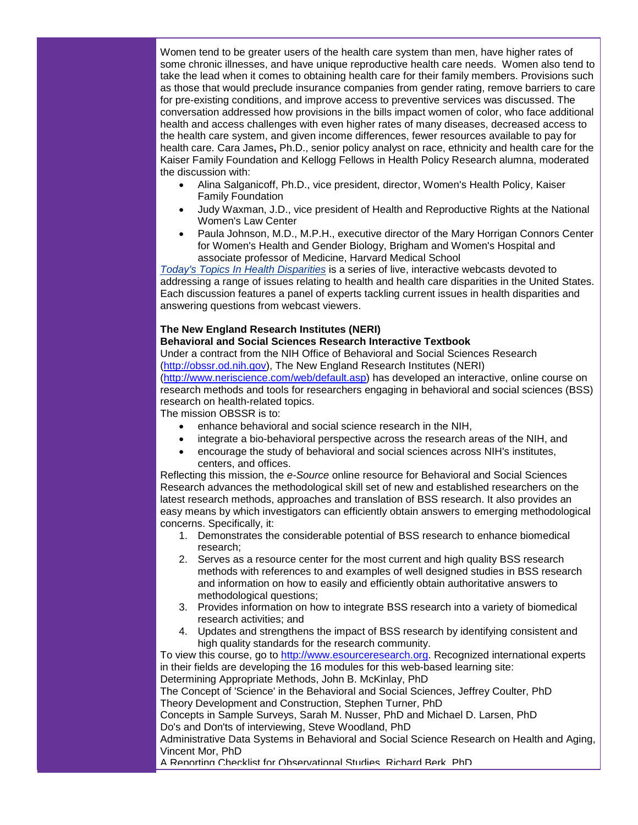Women tend to be greater users of the health care system than men, have higher rates of some chronic illnesses, and have unique reproductive health care needs. Women also tend to take the lead when it comes to obtaining health care for their family members. Provisions such as those that would preclude insurance companies from gender rating, remove barriers to care for pre-existing conditions, and improve access to preventive services was discussed. The conversation addressed how provisions in the bills impact women of color, who face additional health and access challenges with even higher rates of many diseases, decreased access to the health care system, and given income differences, fewer resources available to pay for health care. Cara James**,** Ph.D., senior policy analyst on race, ethnicity and health care for the Kaiser Family Foundation and Kellogg Fellows in Health Policy Research alumna, moderated the discussion with:

- Alina Salganicoff, Ph.D., vice president, director, Women's Health Policy, Kaiser Family Foundation
- Judy Waxman, J.D., vice president of Health and Reproductive Rights at the National Women's Law Center
- Paula Johnson, M.D., M.P.H., executive director of the Mary Horrigan Connors Center for Women's Health and Gender Biology, Brigham and Women's Hospital and associate professor of Medicine, Harvard Medical School

*[Today's Topics In Health Disparities](http://rs6.net/tn.jsp?et=1102939693473&s=1&e=001B8WMXQG3H7Xzcw1erRrpyT6vQI8EOp_LgDLON-3pYw4lLYPwi2TGcqSxN7yE93_QtuUuivUB31r1riIyWOOQ2QjjuviNmYWKau3WpcURv6Zhug989HG-o3MW6Jg_Paecth3u3JM3QTym4Z1IjjrmvQ==)* is a series of live, interactive webcasts devoted to addressing a range of issues relating to health and health care disparities in the United States. Each discussion features a panel of experts tackling current issues in health disparities and answering questions from webcast viewers.

## **The New England Research Institutes (NERI)**

## **Behavioral and Social Sciences Research Interactive Textbook**

Under a contract from the NIH Office of Behavioral and Social Sciences Research [\(http://obssr.od.nih.gov\)](http://rs6.net/tn.jsp?et=1102939693473&s=1&e=001B8WMXQG3H7UNtj10rL_HF8LU5sHTvmdzkDyEMOffHn4l7-Rlni-g6TzAQ6yR8jV1E4GCFbqBcdgLG8s0us9UL57It8kuZM4RV67_NVN1lwk=), The New England Research Institutes (NERI) [\(http://www.neriscience.com/web/default.asp\)](http://rs6.net/tn.jsp?et=1102939693473&s=1&e=001B8WMXQG3H7XIMOkwrAuqEItIF6A0LSCTzez_fYyhIOc4ezXApD2YKoxb0cKIAaX5zNdSTim6O4XvbZIPvfUO5VeZ-SCI_AiIvvqKbmZROVi7GHoFGZ8Szie6zyA8SeV-1HxiA7PU6i8=) has developed an interactive, online course on

research methods and tools for researchers engaging in behavioral and social sciences (BSS) research on health-related topics.

The mission OBSSR is to:

- enhance behavioral and social science research in the NIH,
- integrate a bio-behavioral perspective across the research areas of the NIH, and
- encourage the study of behavioral and social sciences across NIH's institutes, centers, and offices.

Reflecting this mission, the *e-Source* online resource for Behavioral and Social Sciences Research advances the methodological skill set of new and established researchers on the latest research methods, approaches and translation of BSS research. It also provides an easy means by which investigators can efficiently obtain answers to emerging methodological concerns. Specifically, it:

- 1. Demonstrates the considerable potential of BSS research to enhance biomedical research;
- 2. Serves as a resource center for the most current and high quality BSS research methods with references to and examples of well designed studies in BSS research and information on how to easily and efficiently obtain authoritative answers to methodological questions;
- 3. Provides information on how to integrate BSS research into a variety of biomedical research activities; and
- 4. Updates and strengthens the impact of BSS research by identifying consistent and high quality standards for the research community.

To view this course, go to [http://www.esourceresearch.org.](http://rs6.net/tn.jsp?et=1102939693473&s=1&e=001B8WMXQG3H7Vcx-wvur06yEDtQMJ0oeyPAKCB2PLePjsMk6ixR2Gr3oxCL8zwI6HBvFK1Gx2zlWEUCBEDjRUg5FSVeHBpfhY0dxKCh7lultGElpSHhKcT_A==) Recognized international experts in their fields are developing the 16 modules for this web-based learning site: Determining Appropriate Methods, John B. McKinlay, PhD

The Concept of 'Science' in the Behavioral and Social Sciences, Jeffrey Coulter, PhD Theory Development and Construction, Stephen Turner, PhD

Concepts in Sample Surveys, Sarah M. Nusser, PhD and Michael D. Larsen, PhD Do's and Don'ts of interviewing, Steve Woodland, PhD

Administrative Data Systems in Behavioral and Social Science Research on Health and Aging, Vincent Mor, PhD

A Reporting Checklist for Observational Studies, Richard Berk, PhD